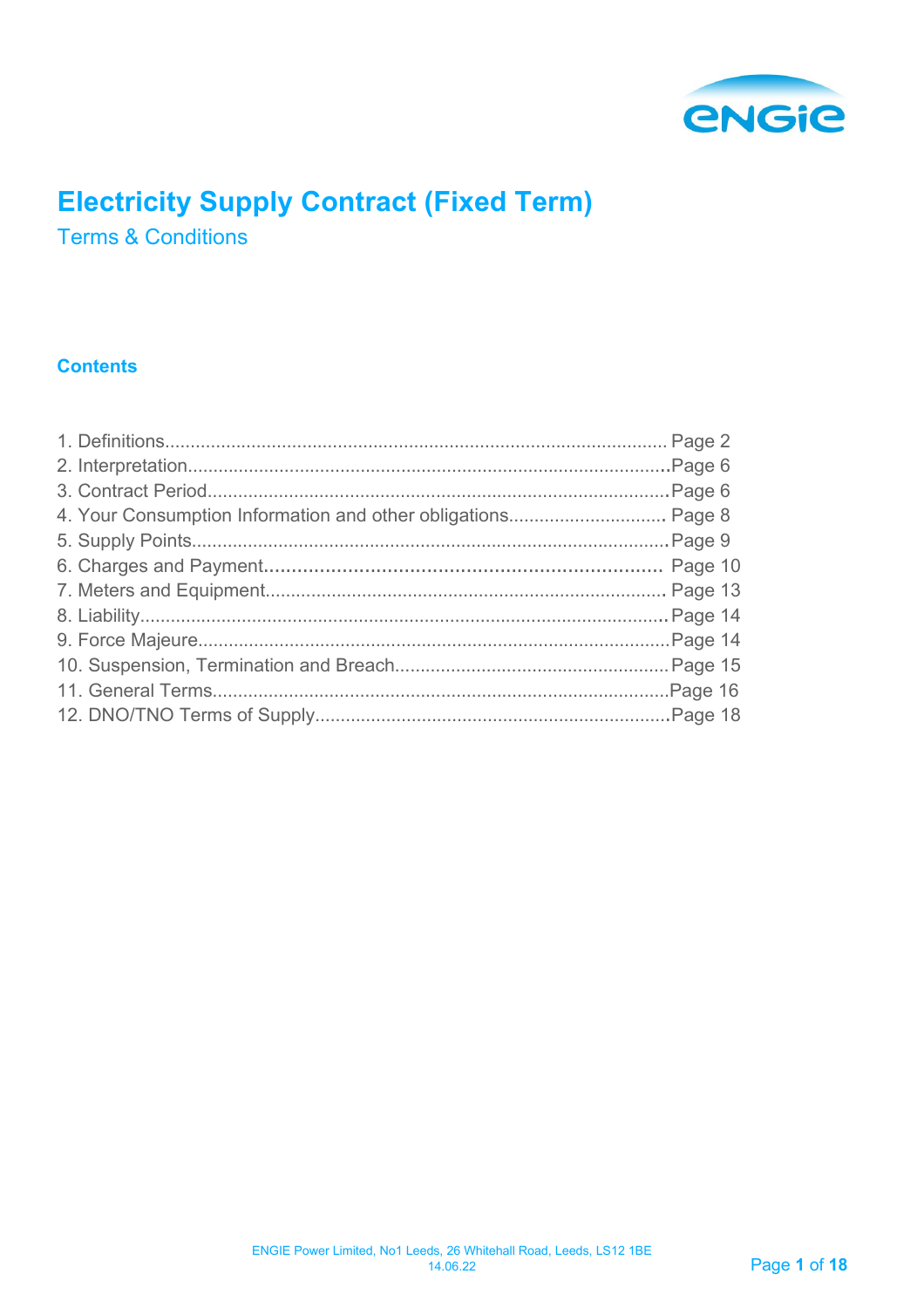

# **Electricity Supply Contract (Fixed Term)**

Terms & Conditions

## **Contents**

| 4. Your Consumption Information and other obligations Page 8 |  |
|--------------------------------------------------------------|--|
|                                                              |  |
|                                                              |  |
|                                                              |  |
|                                                              |  |
|                                                              |  |
|                                                              |  |
|                                                              |  |
|                                                              |  |
|                                                              |  |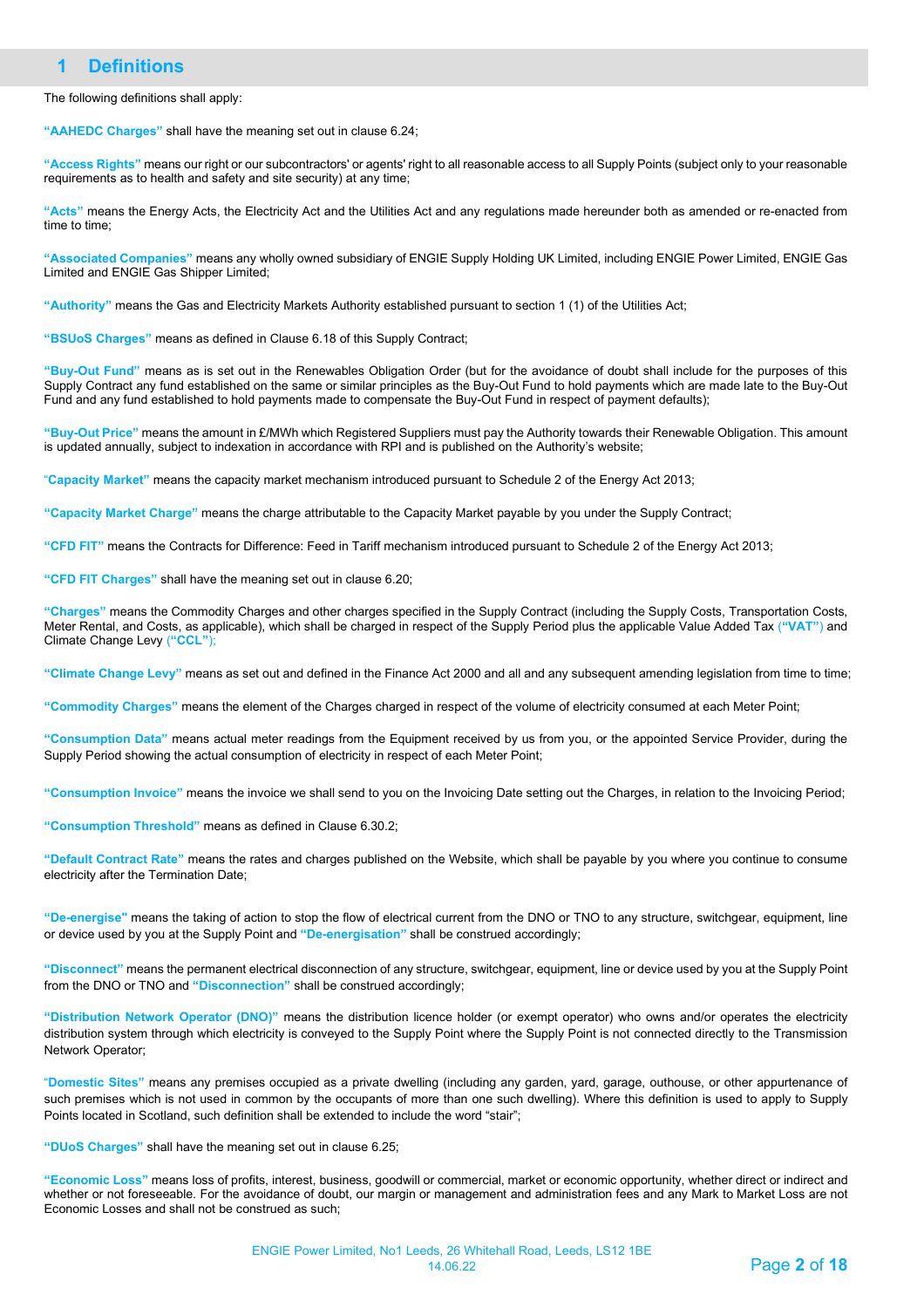## **1 Definitions**

The following definitions shall apply:

**"AAHEDC Charges"** shall have the meaning set out in clause 6.24;

**"Access Rights"** means our right or our subcontractors' or agents' right to all reasonable access to all Supply Points (subject only to your reasonable requirements as to health and safety and site security) at any time;

**"Acts"** means the Energy Acts, the Electricity Act and the Utilities Act and any regulations made hereunder both as amended or re-enacted from time to time;

**"Associated Companies"** means any wholly owned subsidiary of ENGIE Supply Holding UK Limited, including ENGIE Power Limited, ENGIE Gas Limited and ENGIE Gas Shipper Limited;

**"Authority"** means the Gas and Electricity Markets Authority established pursuant to section 1 (1) of the Utilities Act;

**"BSUoS Charges"** means as defined in Clause 6.18 of this Supply Contract;

**"Buy-Out Fund"** means as is set out in the Renewables Obligation Order (but for the avoidance of doubt shall include for the purposes of this Supply Contract any fund established on the same or similar principles as the Buy-Out Fund to hold payments which are made late to the Buy-Out Fund and any fund established to hold payments made to compensate the Buy-Out Fund in respect of payment defaults);

**"Buy-Out Price"** means the amount in £/MWh which Registered Suppliers must pay the Authority towards their Renewable Obligation. This amount is updated annually, subject to indexation in accordance with RPI and is published on the Authority's website;

"**Capacity Market"** means the capacity market mechanism introduced pursuant to Schedule 2 of the Energy Act 2013;

**"Capacity Market Charge"** means the charge attributable to the Capacity Market payable by you under the Supply Contract;

**"CFD FIT"** means the Contracts for Difference: Feed in Tariff mechanism introduced pursuant to Schedule 2 of the Energy Act 2013;

**"CFD FIT Charges"** shall have the meaning set out in clause 6.20;

**"Charges"** means the Commodity Charges and other charges specified in the Supply Contract (including the Supply Costs, Transportation Costs, Meter Rental, and Costs, as applicable), which shall be charged in respect of the Supply Period plus the applicable Value Added Tax (**"VAT"**) and Climate Change Levy (**"CCL"**);

**"Climate Change Levy"** means as set out and defined in the Finance Act 2000 and all and any subsequent amending legislation from time to time;

**"Commodity Charges"** means the element of the Charges charged in respect of the volume of electricity consumed at each Meter Point;

**"Consumption Data"** means actual meter readings from the Equipment received by us from you, or the appointed Service Provider, during the Supply Period showing the actual consumption of electricity in respect of each Meter Point;

**"Consumption Invoice"** means the invoice we shall send to you on the Invoicing Date setting out the Charges, in relation to the Invoicing Period;

**"Consumption Threshold"** means as defined in Clause 6.30.2;

**"Default Contract Rate"** means the rates and charges published on the Website, which shall be payable by you where you continue to consume electricity after the Termination Date;

**"De-energise"** means the taking of action to stop the flow of electrical current from the DNO or TNO to any structure, switchgear, equipment, line or device used by you at the Supply Point and **"De-energisation"** shall be construed accordingly;

**"Disconnect"** means the permanent electrical disconnection of any structure, switchgear, equipment, line or device used by you at the Supply Point from the DNO or TNO and **"Disconnection"** shall be construed accordingly;

**"Distribution Network Operator (DNO)"** means the distribution licence holder (or exempt operator) who owns and/or operates the electricity distribution system through which electricity is conveyed to the Supply Point where the Supply Point is not connected directly to the Transmission Network Operator;

"**Domestic Sites"** means any premises occupied as a private dwelling (including any garden, yard, garage, outhouse, or other appurtenance of such premises which is not used in common by the occupants of more than one such dwelling). Where this definition is used to apply to Supply Points located in Scotland, such definition shall be extended to include the word "stair";

**"DUoS Charges"** shall have the meaning set out in clause 6.25;

**"Economic Loss"** means loss of profits, interest, business, goodwill or commercial, market or economic opportunity, whether direct or indirect and whether or not foreseeable. For the avoidance of doubt, our margin or management and administration fees and any Mark to Market Loss are not Economic Losses and shall not be construed as such;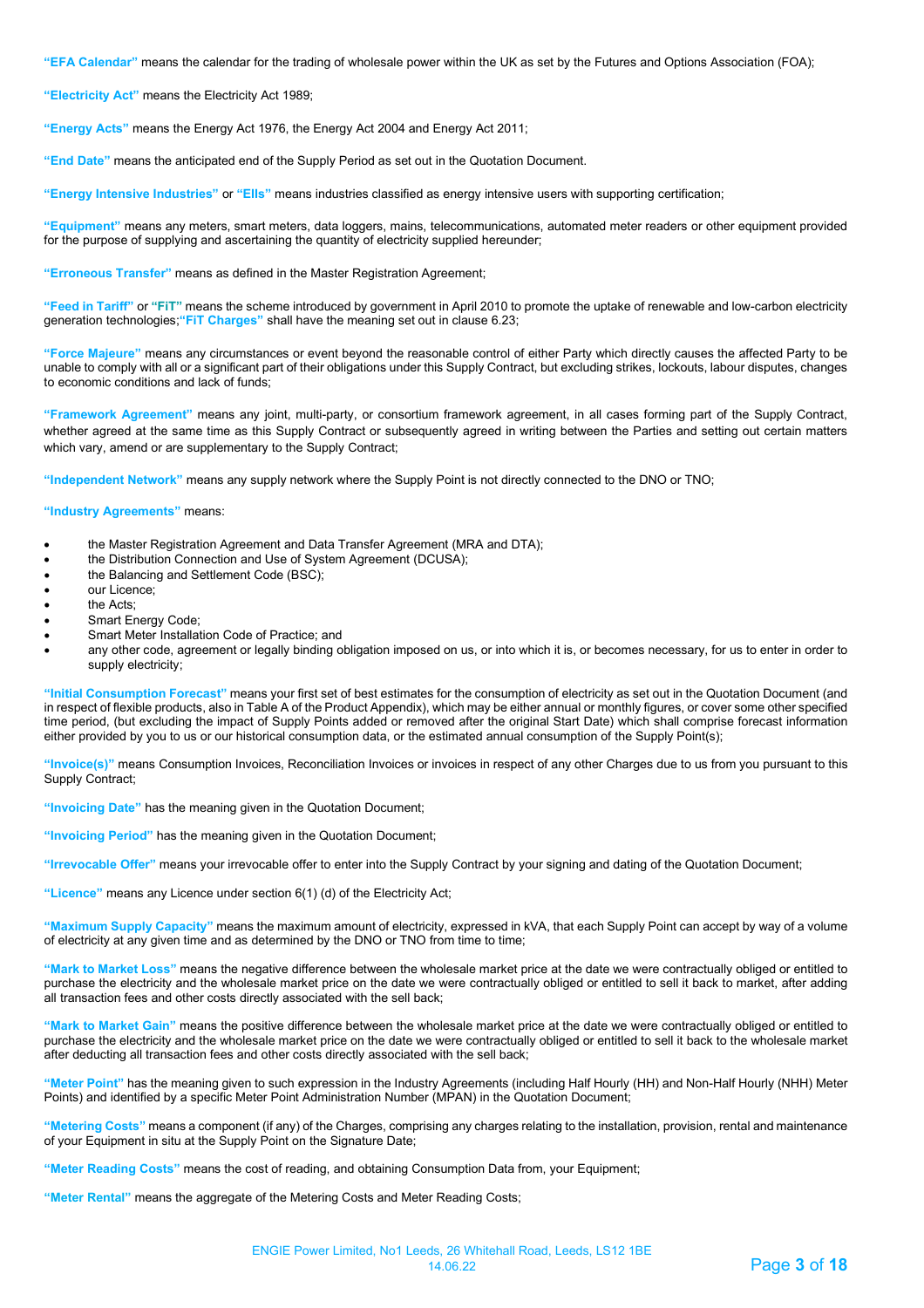**"EFA Calendar"** means the calendar for the trading of wholesale power within the UK as set by the Futures and Options Association (FOA);

**"Electricity Act"** means the Electricity Act 1989;

**"Energy Acts"** means the Energy Act 1976, the Energy Act 2004 and Energy Act 2011;

**"End Date"** means the anticipated end of the Supply Period as set out in the Quotation Document.

**"Energy Intensive Industries"** or **"EIIs"** means industries classified as energy intensive users with supporting certification;

**"Equipment"** means any meters, smart meters, data loggers, mains, telecommunications, automated meter readers or other equipment provided for the purpose of supplying and ascertaining the quantity of electricity supplied hereunder;

**"Erroneous Transfer"** means as defined in the Master Registration Agreement;

**"Feed in Tariff"** or **"FiT"** means the scheme introduced by government in April 2010 to promote the uptake of renewable and low-carbon electricity generation technologies;**"FiT Charges"** shall have the meaning set out in clause 6.23;

**"Force Majeure"** means any circumstances or event beyond the reasonable control of either Party which directly causes the affected Party to be unable to comply with all or a significant part of their obligations under this Supply Contract, but excluding strikes, lockouts, labour disputes, changes to economic conditions and lack of funds;

**"Framework Agreement"** means any joint, multi-party, or consortium framework agreement, in all cases forming part of the Supply Contract, whether agreed at the same time as this Supply Contract or subsequently agreed in writing between the Parties and setting out certain matters which vary, amend or are supplementary to the Supply Contract;

**"Independent Network"** means any supply network where the Supply Point is not directly connected to the DNO or TNO;

**"Industry Agreements"** means:

- the Master Registration Agreement and Data Transfer Agreement (MRA and DTA);
- the Distribution Connection and Use of System Agreement (DCUSA);
- the Balancing and Settlement Code (BSC);
- our Licence:
- the Acts;
- Smart Energy Code;
- Smart Meter Installation Code of Practice; and
- any other code, agreement or legally binding obligation imposed on us, or into which it is, or becomes necessary, for us to enter in order to supply electricity;

**"Initial Consumption Forecast"** means your first set of best estimates for the consumption of electricity as set out in the Quotation Document (and in respect of flexible products, also in Table A of the Product Appendix), which may be either annual or monthly figures, or cover some other specified time period, (but excluding the impact of Supply Points added or removed after the original Start Date) which shall comprise forecast information either provided by you to us or our historical consumption data, or the estimated annual consumption of the Supply Point(s);

**"Invoice(s)"** means Consumption Invoices, Reconciliation Invoices or invoices in respect of any other Charges due to us from you pursuant to this Supply Contract;

**"Invoicing Date"** has the meaning given in the Quotation Document;

**"Invoicing Period"** has the meaning given in the Quotation Document;

**"Irrevocable Offer"** means your irrevocable offer to enter into the Supply Contract by your signing and dating of the Quotation Document;

**"Licence"** means any Licence under section 6(1) (d) of the Electricity Act;

**"Maximum Supply Capacity"** means the maximum amount of electricity, expressed in kVA, that each Supply Point can accept by way of a volume of electricity at any given time and as determined by the DNO or TNO from time to time;

**"Mark to Market Loss"** means the negative difference between the wholesale market price at the date we were contractually obliged or entitled to purchase the electricity and the wholesale market price on the date we were contractually obliged or entitled to sell it back to market, after adding all transaction fees and other costs directly associated with the sell back;

**"Mark to Market Gain"** means the positive difference between the wholesale market price at the date we were contractually obliged or entitled to purchase the electricity and the wholesale market price on the date we were contractually obliged or entitled to sell it back to the wholesale market after deducting all transaction fees and other costs directly associated with the sell back;

**"Meter Point"** has the meaning given to such expression in the Industry Agreements (including Half Hourly (HH) and Non-Half Hourly (NHH) Meter Points) and identified by a specific Meter Point Administration Number (MPAN) in the Quotation Document;

**"Metering Costs"** means a component (if any) of the Charges, comprising any charges relating to the installation, provision, rental and maintenance of your Equipment in situ at the Supply Point on the Signature Date;

**"Meter Reading Costs"** means the cost of reading, and obtaining Consumption Data from, your Equipment;

**"Meter Rental"** means the aggregate of the Metering Costs and Meter Reading Costs;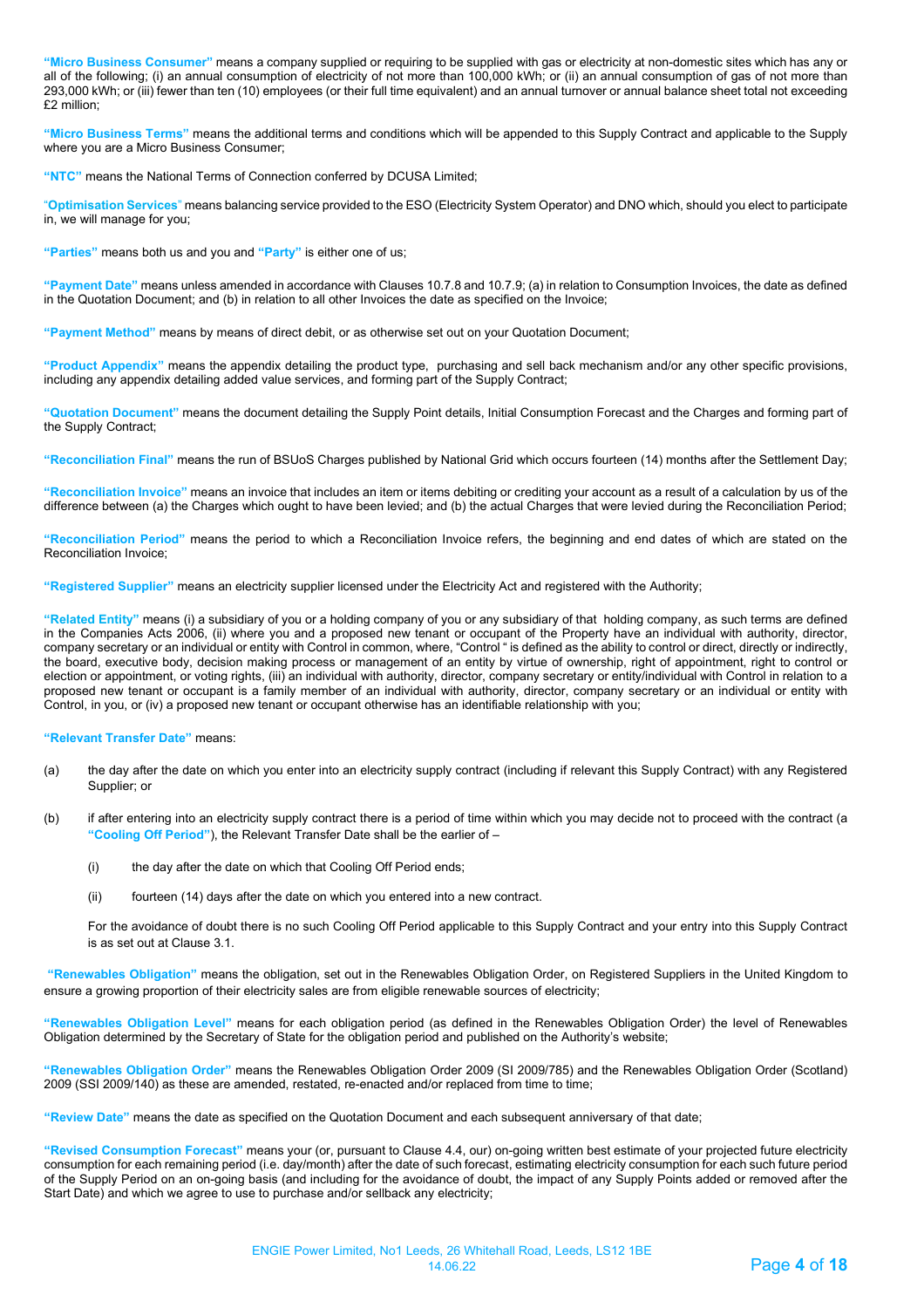**"Micro Business Consumer"** means a company supplied or requiring to be supplied with gas or electricity at non-domestic sites which has any or all of the following; (i) an annual consumption of electricity of not more than 100,000 kWh; or (ii) an annual consumption of gas of not more than 293,000 kWh; or (iii) fewer than ten (10) employees (or their full time equivalent) and an annual turnover or annual balance sheet total not exceeding £2 million;

**"Micro Business Terms"** means the additional terms and conditions which will be appended to this Supply Contract and applicable to the Supply where you are a Micro Business Consumer;

**"NTC"** means the National Terms of Connection conferred by DCUSA Limited;

"**Optimisation Services**" means balancing service provided to the ESO (Electricity System Operator) and DNO which, should you elect to participate in, we will manage for you;

**"Parties"** means both us and you and **"Party"** is either one of us;

**"Payment Date"** means unless amended in accordance with Clauses 10.7.8 and 10.7.9; (a) in relation to Consumption Invoices, the date as defined in the Quotation Document; and (b) in relation to all other Invoices the date as specified on the Invoice;

**"Payment Method"** means by means of direct debit, or as otherwise set out on your Quotation Document;

**"Product Appendix"** means the appendix detailing the product type, purchasing and sell back mechanism and/or any other specific provisions, including any appendix detailing added value services, and forming part of the Supply Contract;

**"Quotation Document"** means the document detailing the Supply Point details, Initial Consumption Forecast and the Charges and forming part of the Supply Contract;

**"Reconciliation Final"** means the run of BSUoS Charges published by National Grid which occurs fourteen (14) months after the Settlement Day;

**"Reconciliation Invoice"** means an invoice that includes an item or items debiting or crediting your account as a result of a calculation by us of the difference between (a) the Charges which ought to have been levied; and (b) the actual Charges that were levied during the Reconciliation Period;

**"Reconciliation Period"** means the period to which a Reconciliation Invoice refers, the beginning and end dates of which are stated on the Reconciliation Invoice;

**"Registered Supplier"** means an electricity supplier licensed under the Electricity Act and registered with the Authority;

**"Related Entity"** means (i) a subsidiary of you or a holding company of you or any subsidiary of that holding company, as such terms are defined in the Companies Acts 2006, (ii) where you and a proposed new tenant or occupant of the Property have an individual with authority, director, company secretary or an individual or entity with Control in common, where, "Control " is defined as the ability to control or direct, directly or indirectly, the board, executive body, decision making process or management of an entity by virtue of ownership, right of appointment, right to control or election or appointment, or voting rights, (iii) an individual with authority, director, company secretary or entity/individual with Control in relation to a proposed new tenant or occupant is a family member of an individual with authority, director, company secretary or an individual or entity with Control, in you, or (iv) a proposed new tenant or occupant otherwise has an identifiable relationship with you;

**"Relevant Transfer Date"** means:

- (a) the day after the date on which you enter into an electricity supply contract (including if relevant this Supply Contract) with any Registered Supplier; or
- (b) if after entering into an electricity supply contract there is a period of time within which you may decide not to proceed with the contract (a **"Cooling Off Period"**), the Relevant Transfer Date shall be the earlier of –
	- (i) the day after the date on which that Cooling Off Period ends;
	- (ii) fourteen (14) days after the date on which you entered into a new contract.

For the avoidance of doubt there is no such Cooling Off Period applicable to this Supply Contract and your entry into this Supply Contract is as set out at Clause 3.1.

**"Renewables Obligation"** means the obligation, set out in the Renewables Obligation Order, on Registered Suppliers in the United Kingdom to ensure a growing proportion of their electricity sales are from eligible renewable sources of electricity;

**"Renewables Obligation Level"** means for each obligation period (as defined in the Renewables Obligation Order) the level of Renewables Obligation determined by the Secretary of State for the obligation period and published on the Authority's website;

**"Renewables Obligation Order"** means the Renewables Obligation Order 2009 (SI 2009/785) and the Renewables Obligation Order (Scotland) 2009 (SSI 2009/140) as these are amended, restated, re-enacted and/or replaced from time to time;

**"Review Date"** means the date as specified on the Quotation Document and each subsequent anniversary of that date;

**"Revised Consumption Forecast"** means your (or, pursuant to Clause 4.4, our) on-going written best estimate of your projected future electricity consumption for each remaining period (i.e. day/month) after the date of such forecast, estimating electricity consumption for each such future period of the Supply Period on an on-going basis (and including for the avoidance of doubt, the impact of any Supply Points added or removed after the Start Date) and which we agree to use to purchase and/or sellback any electricity;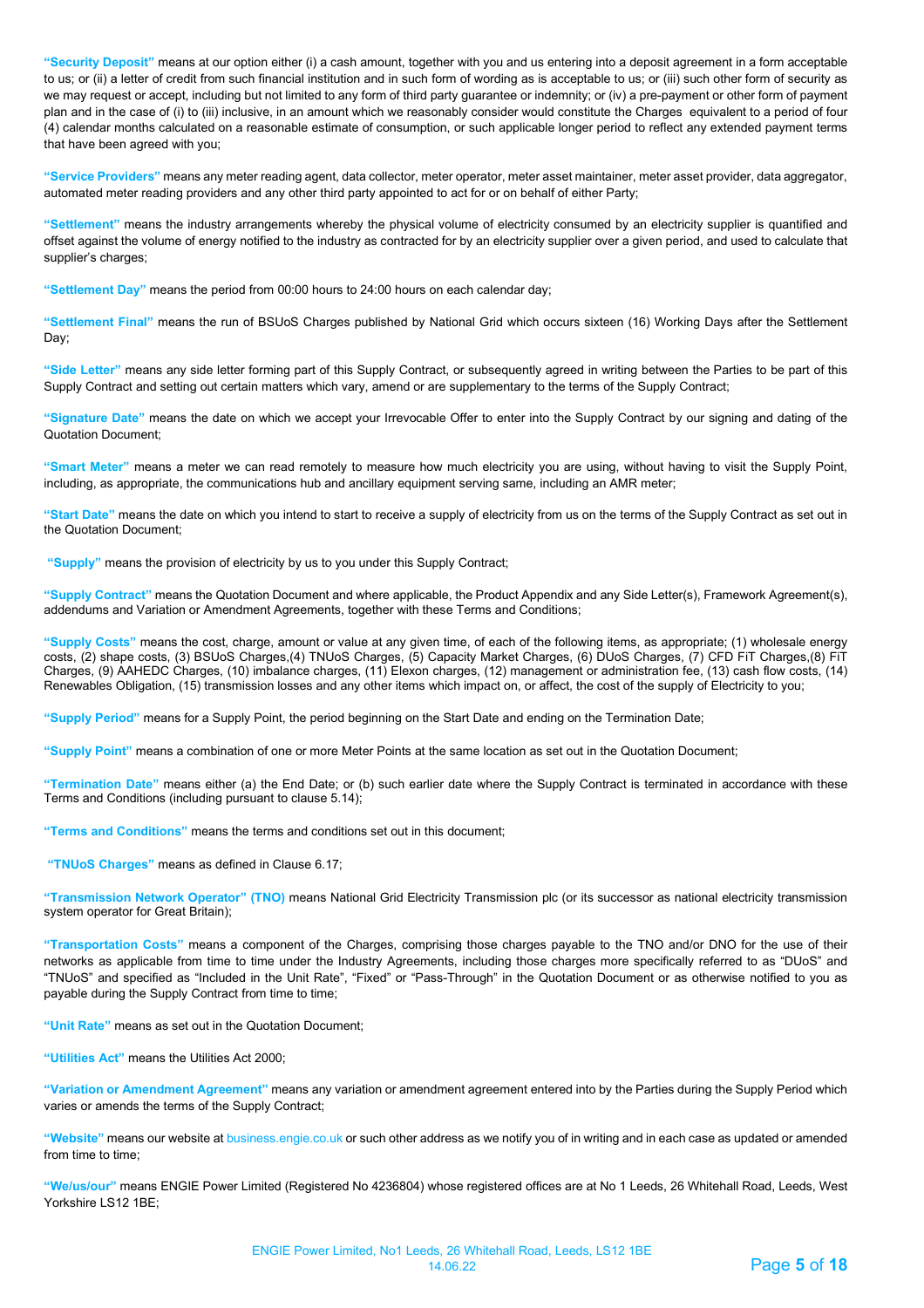**"Security Deposit"** means at our option either (i) a cash amount, together with you and us entering into a deposit agreement in a form acceptable to us; or (ii) a letter of credit from such financial institution and in such form of wording as is acceptable to us; or (iii) such other form of security as we may request or accept, including but not limited to any form of third party guarantee or indemnity; or (iv) a pre-payment or other form of payment plan and in the case of (i) to (iii) inclusive, in an amount which we reasonably consider would constitute the Charges equivalent to a period of four (4) calendar months calculated on a reasonable estimate of consumption, or such applicable longer period to reflect any extended payment terms that have been agreed with you;

**"Service Providers"** means any meter reading agent, data collector, meter operator, meter asset maintainer, meter asset provider, data aggregator, automated meter reading providers and any other third party appointed to act for or on behalf of either Party;

**"Settlement"** means the industry arrangements whereby the physical volume of electricity consumed by an electricity supplier is quantified and offset against the volume of energy notified to the industry as contracted for by an electricity supplier over a given period, and used to calculate that supplier's charges;

**"Settlement Day"** means the period from 00:00 hours to 24:00 hours on each calendar day;

**"Settlement Final"** means the run of BSUoS Charges published by National Grid which occurs sixteen (16) Working Days after the Settlement Day;

**"Side Letter"** means any side letter forming part of this Supply Contract, or subsequently agreed in writing between the Parties to be part of this Supply Contract and setting out certain matters which vary, amend or are supplementary to the terms of the Supply Contract;

**"Signature Date"** means the date on which we accept your Irrevocable Offer to enter into the Supply Contract by our signing and dating of the Quotation Document;

**"Smart Meter"** means a meter we can read remotely to measure how much electricity you are using, without having to visit the Supply Point, including, as appropriate, the communications hub and ancillary equipment serving same, including an AMR meter;

**"Start Date"** means the date on which you intend to start to receive a supply of electricity from us on the terms of the Supply Contract as set out in the Quotation Document;

**"Supply"** means the provision of electricity by us to you under this Supply Contract;

**"Supply Contract"** means the Quotation Document and where applicable, the Product Appendix and any Side Letter(s), Framework Agreement(s), addendums and Variation or Amendment Agreements, together with these Terms and Conditions;

**"Supply Costs"** means the cost, charge, amount or value at any given time, of each of the following items, as appropriate; (1) wholesale energy costs, (2) shape costs, (3) BSUoS Charges,(4) TNUoS Charges, (5) Capacity Market Charges, (6) DUoS Charges, (7) CFD FiT Charges,(8) FiT Charges, (9) AAHEDC Charges, (10) imbalance charges, (11) Elexon charges, (12) management or administration fee, (13) cash flow costs, (14) Renewables Obligation, (15) transmission losses and any other items which impact on, or affect, the cost of the supply of Electricity to you;

**"Supply Period"** means for a Supply Point, the period beginning on the Start Date and ending on the Termination Date;

**"Supply Point"** means a combination of one or more Meter Points at the same location as set out in the Quotation Document;

**"Termination Date"** means either (a) the End Date; or (b) such earlier date where the Supply Contract is terminated in accordance with these Terms and Conditions (including pursuant to clause 5.14);

**"Terms and Conditions"** means the terms and conditions set out in this document;

**"TNUoS Charges"** means as defined in Clause 6.17;

**"Transmission Network Operator" (TNO)** means National Grid Electricity Transmission plc (or its successor as national electricity transmission system operator for Great Britain);

**"Transportation Costs"** means a component of the Charges, comprising those charges payable to the TNO and/or DNO for the use of their networks as applicable from time to time under the Industry Agreements, including those charges more specifically referred to as "DUoS" and "TNUoS" and specified as "Included in the Unit Rate", "Fixed" or "Pass-Through" in the Quotation Document or as otherwise notified to you as payable during the Supply Contract from time to time;

**"Unit Rate"** means as set out in the Quotation Document;

**"Utilities Act"** means the Utilities Act 2000;

**"Variation or Amendment Agreement"** means any variation or amendment agreement entered into by the Parties during the Supply Period which varies or amends the terms of the Supply Contract;

**"Website"** means our website at business.engie.co.uk or such other address as we notify you of in writing and in each case as updated or amended from time to time;

**"We/us/our"** means ENGIE Power Limited (Registered No 4236804) whose registered offices are at No 1 Leeds, 26 Whitehall Road, Leeds, West Yorkshire LS12 1BE;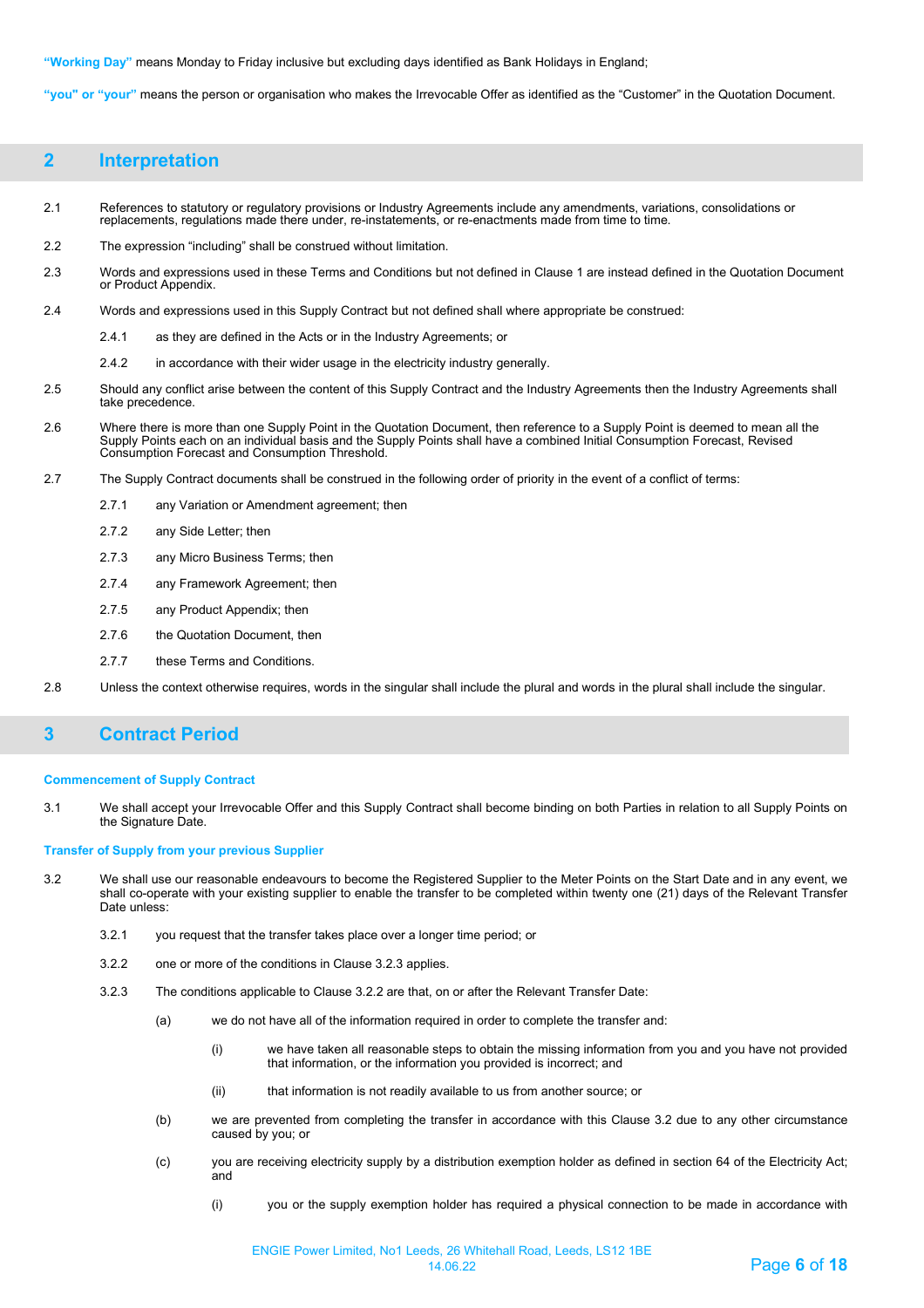**"Working Day"** means Monday to Friday inclusive but excluding days identified as Bank Holidays in England;

**"you" or "your"** means the person or organisation who makes the Irrevocable Offer as identified as the "Customer" in the Quotation Document.

## **2 Interpretation**

- 2.1 References to statutory or regulatory provisions or Industry Agreements include any amendments, variations, consolidations or replacements, regulations made there under, re-instatements, or re-enactments made from time to time.
- 2.2 The expression "including" shall be construed without limitation.
- 2.3 Words and expressions used in these Terms and Conditions but not defined in Clause 1 are instead defined in the Quotation Document or Product Appendix.
- 2.4 Words and expressions used in this Supply Contract but not defined shall where appropriate be construed:
	- 2.4.1 as they are defined in the Acts or in the Industry Agreements; or
	- 2.4.2 in accordance with their wider usage in the electricity industry generally.
- 2.5 Should any conflict arise between the content of this Supply Contract and the Industry Agreements then the Industry Agreements shall take precedence.
- 2.6 Where there is more than one Supply Point in the Quotation Document, then reference to a Supply Point is deemed to mean all the<br>Supply Points each on an individual basis and the Supply Points shall have a co Consumption Forecast and Consumption Threshold.
- 2.7 The Supply Contract documents shall be construed in the following order of priority in the event of a conflict of terms:
	- 2.7.1 any Variation or Amendment agreement; then
	- 2.7.2 any Side Letter; then
	- 2.7.3 any Micro Business Terms; then
	- 2.7.4 any Framework Agreement; then
	- 2.7.5 any Product Appendix; then
	- 2.7.6 the Quotation Document, then
	- 2.7.7 these Terms and Conditions.
- 2.8 Unless the context otherwise requires, words in the singular shall include the plural and words in the plural shall include the singular.

## **3 Contract Period**

#### **Commencement of Supply Contract**

3.1 We shall accept your Irrevocable Offer and this Supply Contract shall become binding on both Parties in relation to all Supply Points on the Signature Date.

#### **Transfer of Supply from your previous Supplier**

- 3.2 We shall use our reasonable endeavours to become the Registered Supplier to the Meter Points on the Start Date and in any event, we shall co-operate with your existing supplier to enable the transfer to be completed within twenty one (21) days of the Relevant Transfer Date unless:
	- 3.2.1 you request that the transfer takes place over a longer time period; or
	- 3.2.2 one or more of the conditions in Clause 3.2.3 applies.
	- 3.2.3 The conditions applicable to Clause 3.2.2 are that, on or after the Relevant Transfer Date:
		- (a) we do not have all of the information required in order to complete the transfer and:
			- (i) we have taken all reasonable steps to obtain the missing information from you and you have not provided that information, or the information you provided is incorrect; and
			- (ii) that information is not readily available to us from another source; or
		- (b) we are prevented from completing the transfer in accordance with this Clause 3.2 due to any other circumstance caused by you; or
		- (c) you are receiving electricity supply by a distribution exemption holder as defined in section 64 of the Electricity Act; and
			- (i) you or the supply exemption holder has required a physical connection to be made in accordance with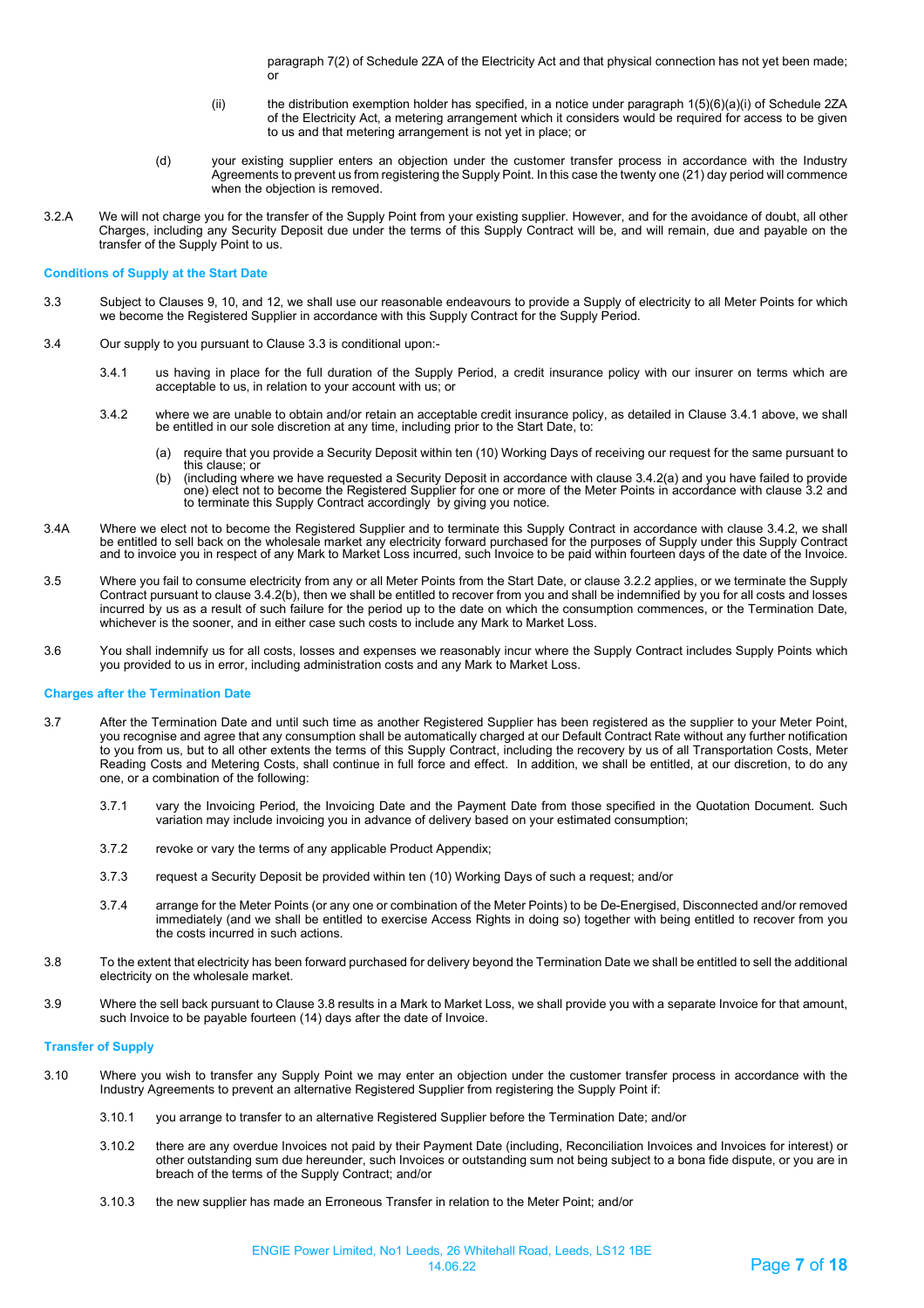paragraph 7(2) of Schedule 2ZA of the Electricity Act and that physical connection has not yet been made; or

- (ii) the distribution exemption holder has specified, in a notice under paragraph 1(5)(6)(a)(i) of Schedule 2ZA of the Electricity Act, a metering arrangement which it considers would be required for access to be given to us and that metering arrangement is not yet in place; or
- (d) your existing supplier enters an objection under the customer transfer process in accordance with the Industry Agreements to prevent us from registering the Supply Point. In this case the twenty one (21) day period will commence when the objection is removed.
- 3.2.A We will not charge you for the transfer of the Supply Point from your existing supplier. However, and for the avoidance of doubt, all other Charges, including any Security Deposit due under the terms of this Supply Contract will be, and will remain, due and payable on the transfer of the Supply Point to us.

#### **Conditions of Supply at the Start Date**

- 3.3 Subject to Clauses 9, 10, and 12, we shall use our reasonable endeavours to provide a Supply of electricity to all Meter Points for which we become the Registered Supplier in accordance with this Supply Contract for the Supply Period.
- 3.4 Our supply to you pursuant to Clause 3.3 is conditional upon:-
	- 3.4.1 us having in place for the full duration of the Supply Period, a credit insurance policy with our insurer on terms which are acceptable to us, in relation to your account with us; or
	- 3.4.2 where we are unable to obtain and/or retain an acceptable credit insurance policy, as detailed in Clause 3.4.1 above, we shall be entitled in our sole discretion at any time, including prior to the Start Date, to:
		- (a) require that you provide a Security Deposit within ten (10) Working Days of receiving our request for the same pursuant to this clause; or
		- (b) (including where we have requested a Security Deposit in accordance with clause 3.4.2(a) and you have failed to provide one) elect not to become the Registered Supplier for one or more of the Meter Points in accordance with clause 3.2 and to terminate this Supply Contract accordingly by giving you notice.
- 3.4A Where we elect not to become the Registered Supplier and to terminate this Supply Contract in accordance with clause 3.4.2, we shall<br>be entitled to sell back on the wholesale market any electricity forward purchased f and to invoice you in respect of any Mark to Market Loss incurred, such Invoice to be paid within fourteen days of the date of the Invoice.
- 3.5 Where you fail to consume electricity from any or all Meter Points from the Start Date, or clause 3.2.2 applies, or we terminate the Supply Contract pursuant to clause 3.4.2(b), then we shall be entitled to recover from you and shall be indemnified by you for all costs and losses incurred by us as a result of such failure for the period up to the date on which the consumption commences, or the Termination Date, whichever is the sooner, and in either case such costs to include any Mark to Market Loss.
- 3.6 You shall indemnify us for all costs, losses and expenses we reasonably incur where the Supply Contract includes Supply Points which you provided to us in error, including administration costs and any Mark to Market Loss.

#### **Charges after the Termination Date**

- 3.7 After the Termination Date and until such time as another Registered Supplier has been registered as the supplier to your Meter Point, you recognise and agree that any consumption shall be automatically charged at our Default Contract Rate without any further notification to you from us, but to all other extents the terms of this Supply Contract, including the recovery by us of all Transportation Costs, Meter Reading Costs and Metering Costs, shall continue in full force and effect. In addition, we shall be entitled, at our discretion, to do any one, or a combination of the following:
	- 3.7.1 vary the Invoicing Period, the Invoicing Date and the Payment Date from those specified in the Quotation Document. Such variation may include invoicing you in advance of delivery based on your estimated consumption;
	- 3.7.2 revoke or vary the terms of any applicable Product Appendix;
	- 3.7.3 request a Security Deposit be provided within ten (10) Working Days of such a request; and/or
	- 3.7.4 arrange for the Meter Points (or any one or combination of the Meter Points) to be De-Energised, Disconnected and/or removed immediately (and we shall be entitled to exercise Access Rights in doing so) together with being entitled to recover from you the costs incurred in such actions.
- 3.8 To the extent that electricity has been forward purchased for delivery beyond the Termination Date we shall be entitled to sell the additional electricity on the wholesale market.
- 3.9 Where the sell back pursuant to Clause 3.8 results in a Mark to Market Loss, we shall provide you with a separate Invoice for that amount, such Invoice to be payable fourteen (14) days after the date of Invoice.

#### **Transfer of Supply**

- 3.10 Where you wish to transfer any Supply Point we may enter an objection under the customer transfer process in accordance with the Industry Agreements to prevent an alternative Registered Supplier from registering the Supply Point if:
	- 3.10.1 you arrange to transfer to an alternative Registered Supplier before the Termination Date; and/or
	- 3.10.2 there are any overdue Invoices not paid by their Payment Date (including, Reconciliation Invoices and Invoices for interest) or other outstanding sum due hereunder, such Invoices or outstanding sum not being subject to a bona fide dispute, or you are in breach of the terms of the Supply Contract; and/or
	- 3.10.3 the new supplier has made an Erroneous Transfer in relation to the Meter Point; and/or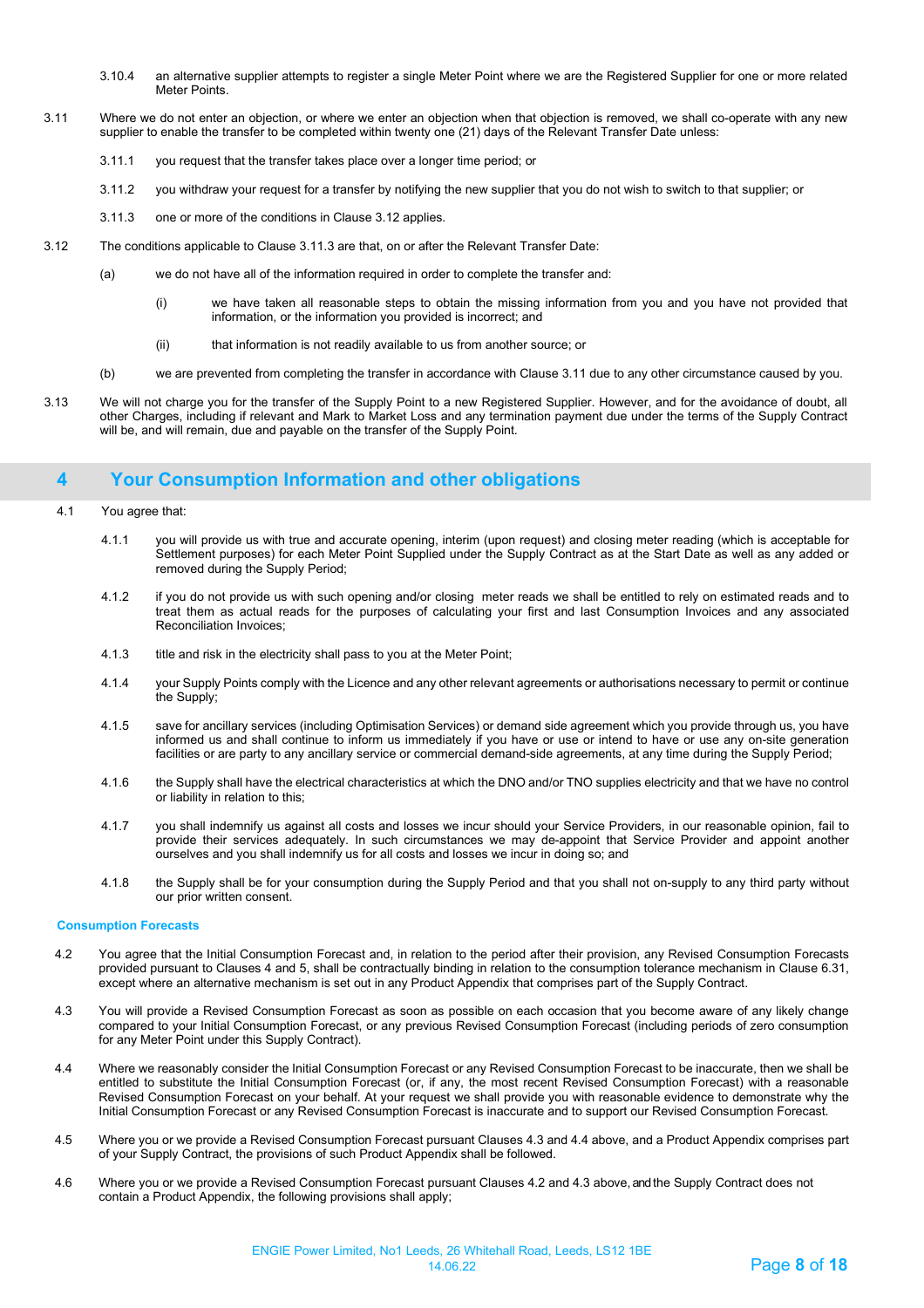- 3.10.4 an alternative supplier attempts to register a single Meter Point where we are the Registered Supplier for one or more related Meter Points.
- 3.11 Where we do not enter an objection, or where we enter an objection when that objection is removed, we shall co-operate with any new supplier to enable the transfer to be completed within twenty one (21) days of the Relevant Transfer Date unless:
	- 3.11.1 you request that the transfer takes place over a longer time period; or
	- 3.11.2 you withdraw your request for a transfer by notifying the new supplier that you do not wish to switch to that supplier; or
	- 3.11.3 one or more of the conditions in Clause 3.12 applies.
- 3.12 The conditions applicable to Clause 3.11.3 are that, on or after the Relevant Transfer Date:
	- (a) we do not have all of the information required in order to complete the transfer and:
		- (i) we have taken all reasonable steps to obtain the missing information from you and you have not provided that information, or the information you provided is incorrect; and
		- (ii) that information is not readily available to us from another source; or
	- (b) we are prevented from completing the transfer in accordance with Clause 3.11 due to any other circumstance caused by you.
- 3.13 We will not charge you for the transfer of the Supply Point to a new Registered Supplier. However, and for the avoidance of doubt, all other Charges, including if relevant and Mark to Market Loss and any termination payment due under the terms of the Supply Contract will be, and will remain, due and payable on the transfer of the Supply Point.

## **4 Your Consumption Information and other obligations**

- 4.1 You agree that:
	- 4.1.1 you will provide us with true and accurate opening, interim (upon request) and closing meter reading (which is acceptable for Settlement purposes) for each Meter Point Supplied under the Supply Contract as at the Start Date as well as any added or removed during the Supply Period;
	- 4.1.2 if you do not provide us with such opening and/or closing meter reads we shall be entitled to rely on estimated reads and to treat them as actual reads for the purposes of calculating your first and last Consumption Invoices and any associated Reconciliation Invoices;
	- 4.1.3 title and risk in the electricity shall pass to you at the Meter Point;
	- 4.1.4 your Supply Points comply with the Licence and any other relevant agreements or authorisations necessary to permit or continue the Supply;
	- 4.1.5 save for ancillary services (including Optimisation Services) or demand side agreement which you provide through us, you have informed us and shall continue to inform us immediately if you have or use or intend to have or use any on-site generation facilities or are party to any ancillary service or commercial demand-side agreements, at any time during the Supply Period;
	- 4.1.6 the Supply shall have the electrical characteristics at which the DNO and/or TNO supplies electricity and that we have no control or liability in relation to this;
	- 4.1.7 you shall indemnify us against all costs and losses we incur should your Service Providers, in our reasonable opinion, fail to provide their services adequately. In such circumstances we may de-appoint that Service Provider and appoint another ourselves and you shall indemnify us for all costs and losses we incur in doing so; and
	- 4.1.8 the Supply shall be for your consumption during the Supply Period and that you shall not on-supply to any third party without our prior written consent.

#### **Consumption Forecasts**

- 4.2 You agree that the Initial Consumption Forecast and, in relation to the period after their provision, any Revised Consumption Forecasts provided pursuant to Clauses 4 and 5, shall be contractually binding in relation to the consumption tolerance mechanism in Clause 6.31, except where an alternative mechanism is set out in any Product Appendix that comprises part of the Supply Contract.
- 4.3 You will provide a Revised Consumption Forecast as soon as possible on each occasion that you become aware of any likely change compared to your Initial Consumption Forecast, or any previous Revised Consumption Forecast (including periods of zero consumption for any Meter Point under this Supply Contract).
- 4.4 Where we reasonably consider the Initial Consumption Forecast or any Revised Consumption Forecast to be inaccurate, then we shall be entitled to substitute the Initial Consumption Forecast (or, if any, the most recent Revised Consumption Forecast) with a reasonable Revised Consumption Forecast on your behalf. At your request we shall provide you with reasonable evidence to demonstrate why the Initial Consumption Forecast or any Revised Consumption Forecast is inaccurate and to support our Revised Consumption Forecast.
- 4.5 Where you or we provide a Revised Consumption Forecast pursuant Clauses 4.3 and 4.4 above, and a Product Appendix comprises part of your Supply Contract, the provisions of such Product Appendix shall be followed.
- 4.6 Where you or we provide a Revised Consumption Forecast pursuant Clauses 4.2 and 4.3 above, and the Supply Contract does not contain a Product Appendix, the following provisions shall apply;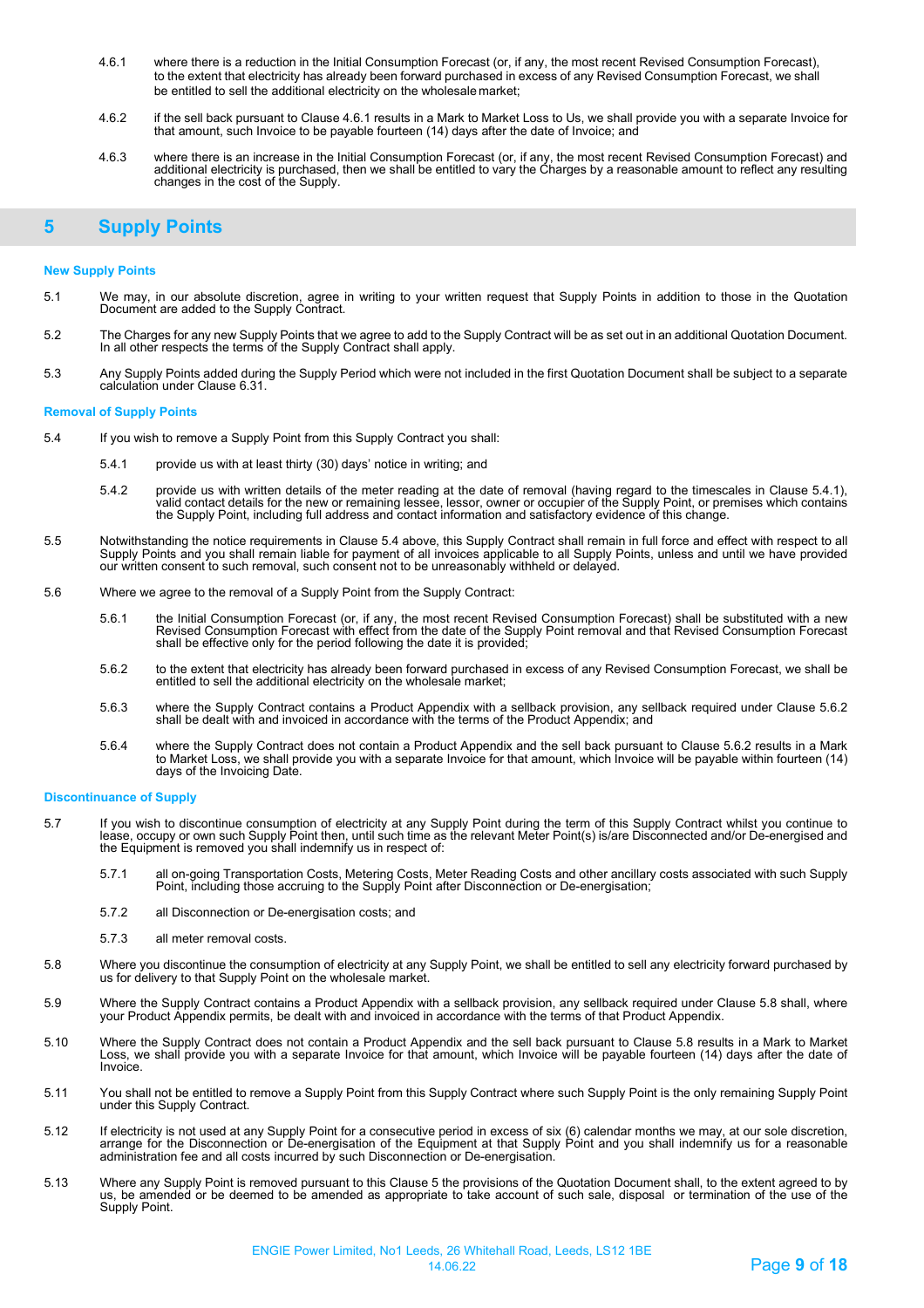- 4.6.1 where there is a reduction in the Initial Consumption Forecast (or, if any, the most recent Revised Consumption Forecast), to the extent that electricity has already been forward purchased in excess of any Revised Consumption Forecast, we shall be entitled to sell the additional electricity on the wholesale market;
- 4.6.2 if the sell back pursuant to Clause 4.6.1 results in a Mark to Market Loss to Us, we shall provide you with a separate Invoice for that amount, such Invoice to be payable fourteen (14) days after the date of Invoice; and
- 4.6.3 where there is an increase in the Initial Consumption Forecast (or, if any, the most recent Revised Consumption Forecast) and<br>additional electricity is purchased, then we shall be entitled to vary the Charges by a re changes in the cost of the Supply.

## **5 Supply Points**

#### **New Supply Points**

- 5.1 We may, in our absolute discretion, agree in writing to your written request that Supply Points in addition to those in the Quotation Document are added to the Supply Contract.
- 5.2 The Charges for any new Supply Points that we agree to add to the Supply Contract will be as set out in an additional Quotation Document. In all other respects the terms of the Supply Contract shall apply.
- 5.3 Any Supply Points added during the Supply Period which were not included in the first Quotation Document shall be subject to a separate calculation under Clause 6.31.

#### **Removal of Supply Points**

- 5.4 If you wish to remove a Supply Point from this Supply Contract you shall:
	- 5.4.1 provide us with at least thirty (30) days' notice in writing; and
	- 5.4.2 provide us with written details of the meter reading at the date of removal (having regard to the timescales in Clause 5.4.1),<br>valid contact details for the new or remaining lessee, lessor, owner or occupier of the S the Supply Point, including full address and contact information and satisfactory evidence of this change.
- 5.5 Notwithstanding the notice requirements in Clause 5.4 above, this Supply Contract shall remain in full force and effect with respect to all Supply Points and you shall remain liable for payment of all invoices applicable to all Supply Points, unless and until we have provided our written consent to such removal, such consent not to be unreasonably withheld or delayed.
- 5.6 Where we agree to the removal of a Supply Point from the Supply Contract:
	- 5.6.1 the Initial Consumption Forecast (or, if any, the most recent Revised Consumption Forecast) shall be substituted with a new Revised Consumption Forecast with effect from the date of the Supply Point removal and that Revised Consumption Forecast shall be effective only for the period following the date it is provided;
	- 5.6.2 to the extent that electricity has already been forward purchased in excess of any Revised Consumption Forecast, we shall be entitled to sell the additional electricity on the wholesale market;
	- 5.6.3 where the Supply Contract contains a Product Appendix with a sellback provision, any sellback required under Clause 5.6.2 shall be dealt with and invoiced in accordance with the terms of the Product Appendix; and
	- 5.6.4 where the Supply Contract does not contain a Product Appendix and the sell back pursuant to Clause 5.6.2 results in a Mark to Market Loss, we shall provide you with a separate Invoice for that amount, which Invoice will be payable within fourteen (14) days of the Invoicing Date.

#### **Discontinuance of Supply**

- 5.7 If you wish to discontinue consumption of electricity at any Supply Point during the term of this Supply Contract whilst you continue to lease, occupy or own such Supply Point then, until such time as the relevant Meter Point(s) is/are Disconnected and/or De-energised and the Equipment is removed you shall indemnify us in respect of:
	- 5.7.1 all on-going Transportation Costs, Metering Costs, Meter Reading Costs and other ancillary costs associated with such Supply Point, including those accruing to the Supply Point after Disconnection or De-energisation;
	- 5.7.2 all Disconnection or De-energisation costs; and
	- 5.7.3 all meter removal costs.
- 5.8 Where you discontinue the consumption of electricity at any Supply Point, we shall be entitled to sell any electricity forward purchased by us for delivery to that Supply Point on the wholesale market.
- 5.9 Where the Supply Contract contains a Product Appendix with a sellback provision, any sellback required under Clause 5.8 shall, where your Product Appendix permits, be dealt with and invoiced in accordance with the terms of that Product Appendix.
- 5.10 Where the Supply Contract does not contain a Product Appendix and the sell back pursuant to Clause 5.8 results in a Mark to Market<br>Loss, we shall provide you with a separate Invoice for that amount, which Invoice will Invoice.
- 5.11 You shall not be entitled to remove a Supply Point from this Supply Contract where such Supply Point is the only remaining Supply Point under this Supply Contract.
- 5.12 If electricity is not used at any Supply Point for a consecutive period in excess of six (6) calendar months we may, at our sole discretion, arrange for the Disconnection or De-energisation of the Equipment at that Supply Point and you shall indemnify us for a reasonable administration fee and all costs incurred by such Disconnection or De-energisation.
- 5.13 Where any Supply Point is removed pursuant to this Clause 5 the provisions of the Quotation Document shall, to the extent agreed to by us, be amended or be deemed to be amended as appropriate to take account of such sale, disposal or termination of the use of the Supply Point.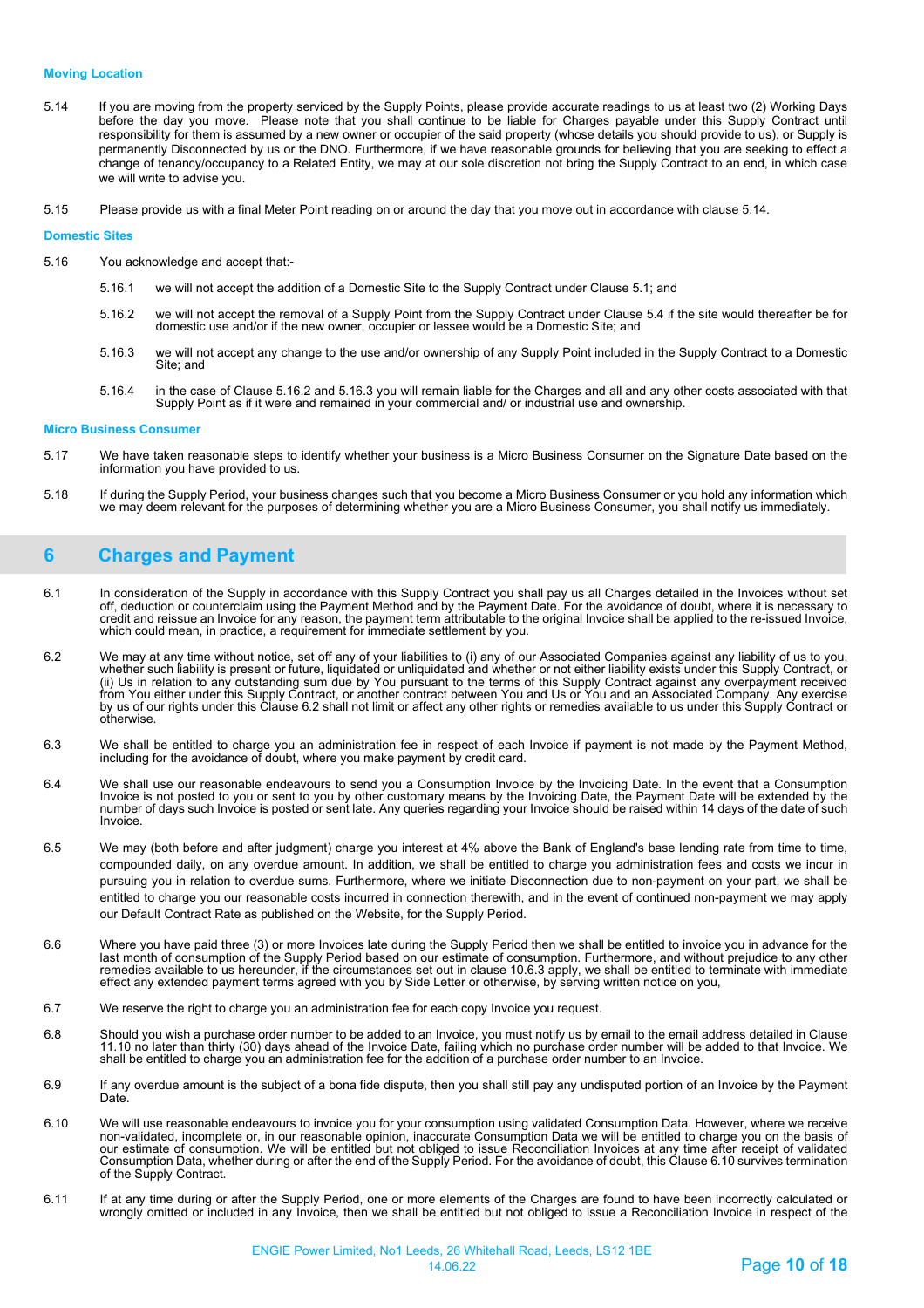#### **Moving Location**

- 5.14 If you are moving from the property serviced by the Supply Points, please provide accurate readings to us at least two (2) Working Days before the day you move. Please note that you shall continue to be liable for Charges payable under this Supply Contract until responsibility for them is assumed by a new owner or occupier of the said property (whose details you should provide to us), or Supply is permanently Disconnected by us or the DNO. Furthermore, if we have reasonable grounds for believing that you are seeking to effect a change of tenancy/occupancy to a Related Entity, we may at our sole discretion not bring the Supply Contract to an end, in which case we will write to advise you.
- 5.15 Please provide us with a final Meter Point reading on or around the day that you move out in accordance with clause 5.14.

#### **Domestic Sites**

- 5.16 You acknowledge and accept that:-
	- 5.16.1 we will not accept the addition of a Domestic Site to the Supply Contract under Clause 5.1; and
	- 5.16.2 we will not accept the removal of a Supply Point from the Supply Contract under Clause 5.4 if the site would thereafter be for domestic use and/or if the new owner, occupier or lessee would be a Domestic Site; and
	- 5.16.3 we will not accept any change to the use and/or ownership of any Supply Point included in the Supply Contract to a Domestic Site; and
	- 5.16.4 in the case of Clause 5.16.2 and 5.16.3 you will remain liable for the Charges and all and any other costs associated with that Supply Point as if it were and remained in your commercial and/ or industrial use and ownership.

#### **Micro Business Consumer**

- 5.17 We have taken reasonable steps to identify whether your business is a Micro Business Consumer on the Signature Date based on the information you have provided to us.
- 5.18 If during the Supply Period, your business changes such that you become a Micro Business Consumer or you hold any information which we may deem relevant for the purposes of determining whether you are a Micro Business Consumer, you shall notify us immediately.

## **6 Charges and Payment**

- 6.1 In consideration of the Supply in accordance with this Supply Contract you shall pay us all Charges detailed in the Invoices without set off, deduction or counterclaim using the Payment Method and by the Payment Date. For the avoidance of doubt, where it is necessary to credit and reissue an Invoice for any reason, the payment term attributable to the original Invoice shall be applied to the re-issued Invoice, which could mean, in practice, a requirement for immediate settlement by you.
- 6.2 We may at any time without notice, set off any of your liabilities to (i) any of our Associated Companies against any liability of us to you, whether such liability is present or future, liquidated or unliquidated and whether or not either liability exists under this Supply Contract, or<br>(ii) Us in relation to any outstanding sum due by You pursuant to the terms from You either under this Supply Contract, or another contract between You and Us or You and an Associated Company. Any exercise by us of our rights under this Clause 6.2 shall not limit or affect any other rights or remedies available to us under this Supply Contract or otherwise.
- 6.3 We shall be entitled to charge you an administration fee in respect of each Invoice if payment is not made by the Payment Method, including for the avoidance of doubt, where you make payment by credit card.
- 6.4 We shall use our reasonable endeavours to send you a Consumption Invoice by the Invoicing Date. In the event that a Consumption Invoice is not posted to you or sent to you by other customary means by the Invoicing Date, the Payment Date will be extended by the<br>number of days such Invoice is posted or sent late. Any queries regarding your Invoice sh Invoice.
- 6.5 We may (both before and after judgment) charge you interest at 4% above the Bank of England's base lending rate from time to time, compounded daily, on any overdue amount. In addition, we shall be entitled to charge you administration fees and costs we incur in pursuing you in relation to overdue sums. Furthermore, where we initiate Disconnection due to non-payment on your part, we shall be entitled to charge you our reasonable costs incurred in connection therewith, and in the event of continued non-payment we may apply our Default Contract Rate as published on the Website, for the Supply Period.
- 6.6 Where you have paid three (3) or more Invoices late during the Supply Period then we shall be entitled to invoice you in advance for the last month of consumption of the Supply Period based on our estimate of consumption. Furthermore, and without prejudice to any other<br>remedies available to us hereunder, if the circumstances set out in clause 10.6.3 apply, effect any extended payment terms agreed with you by Side Letter or otherwise, by serving written notice on you,
- 6.7 We reserve the right to charge you an administration fee for each copy Invoice you request.
- 6.8 Should you wish a purchase order number to be added to an Invoice, you must notify us by email to the email address detailed in Clause 11.10 no later than thirty (30) days ahead of the Invoice Date, failing which no purchase order number will be added to that Invoice. We<br>shall be entitled to charge you an administration fee for the addition of a purchase
- 6.9 If any overdue amount is the subject of a bona fide dispute, then you shall still pay any undisputed portion of an Invoice by the Payment **Date**
- 6.10 We will use reasonable endeavours to invoice you for your consumption using validated Consumption Data. However, where we receive<br>non-validated, incomplete or, in our reasonable opinion, inaccurate Consumption Data we our estimate of consumption. We will be entitled but not obliged to issue Reconciliation Invoices at any time after receipt of validated Consumption Data, whether during or after the end of the Supply Period. For the avoidance of doubt, this Clause 6.10 survives termination of the Supply Contract.
- 6.11 If at any time during or after the Supply Period, one or more elements of the Charges are found to have been incorrectly calculated or wrongly omitted or included in any Invoice, then we shall be entitled but not obli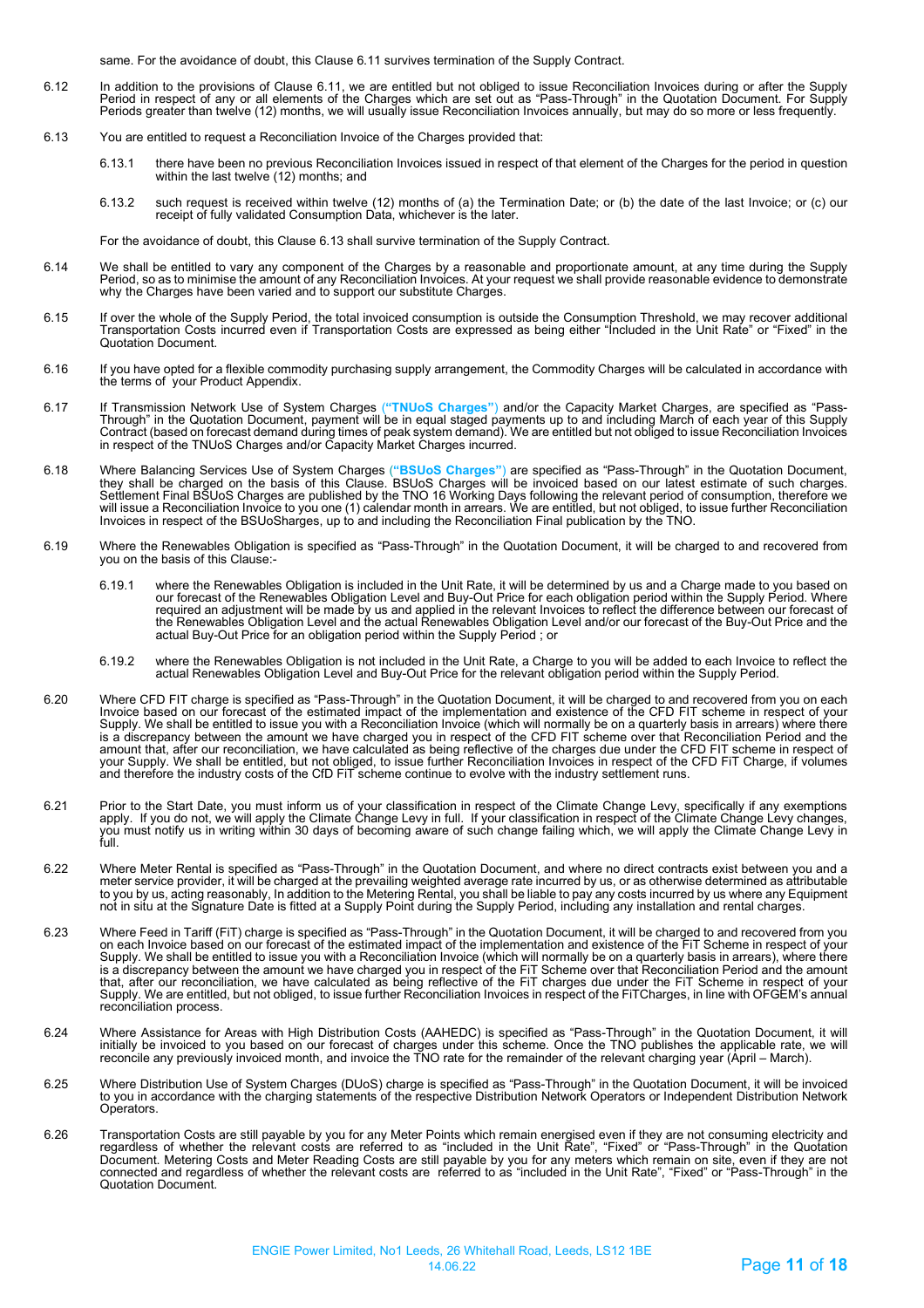same. For the avoidance of doubt, this Clause 6.11 survives termination of the Supply Contract.

- 6.12 In addition to the provisions of Clause 6.11, we are entitled but not obliged to issue Reconciliation Invoices during or after the Supply Period in respect of any or all elements of the Charges which are set out as "Pass-Through" in the Quotation Document. For Supply Periods greater than twelve (12) months, we will usually issue Reconciliation Invoices annually, but may do so more or less frequently.
- 6.13 You are entitled to request a Reconciliation Invoice of the Charges provided that:
	- 6.13.1 there have been no previous Reconciliation Invoices issued in respect of that element of the Charges for the period in question within the last twelve (12) months; and
	- 6.13.2 such request is received within twelve (12) months of (a) the Termination Date; or (b) the date of the last Invoice; or (c) our receipt of fully validated Consumption Data, whichever is the later.

For the avoidance of doubt, this Clause 6.13 shall survive termination of the Supply Contract.

- 6.14 We shall be entitled to vary any component of the Charges by a reasonable and proportionate amount, at any time during the Supply<br>Period, so as to minimise the amount of any Reconciliation Invoices. At your request why the Charges have been varied and to support our substitute Charges.
- 6.15 If over the whole of the Supply Period, the total invoiced consumption is outside the Consumption Threshold, we may recover additional Transportation Costs incurred even if Transportation Costs are expressed as being either "Included in the Unit Rate" or "Fixed" in the Quotation Document.
- 6.16 If you have opted for a flexible commodity purchasing supply arrangement, the Commodity Charges will be calculated in accordance with the terms of your Product Appendix.
- 6.17 If Transmission Network Use of System Charges ("TNUoS Charges") and/or the Capacity Market Charges, are specified as "Pass-<br>Through" in the Quotation Document, payment will be in equal staged payments up to and incl in respect of the TNUoS Charges and/or Capacity Market Charges incurred.
- 6.18 Where Balancing Services Use of System Charges (**"BSUoS Charges"**) are specified as "Pass-Through" in the Quotation Document, they shall be charged on the basis of this Clause. BSUoS Charges will be invoiced based on our latest estimate of such charges.<br>Settlement Final BSUoS Charges are published by the TNO 16 Working Days following the relevant will issue a Reconciliation Invoice to you one (1) calendar month in arrears. We are entitled, but not obliged, to issue further Reconciliation Invoices in respect of the BSUoSharges, up to and including the Reconciliation Final publication by the TNO.
- 6.19 Where the Renewables Obligation is specified as "Pass-Through" in the Quotation Document, it will be charged to and recovered from you on the basis of this Clause:-
	- 6.19.1 where the Renewables Obligation is included in the Unit Rate, it will be determined by us and a Charge made to you based on our forecast of the Renewables Obligation Level and Buy-Out Price for each obligation period within the Supply Period. Where required an adjustment will be made by us and applied in the relevant Invoices to reflect the difference between our forecast of<br>the Renewables Obligation Level and the actual Renewables Obligation Level and/or our forecas actual Buy-Out Price for an obligation period within the Supply Period ; or
	- 6.19.2 where the Renewables Obligation is not included in the Unit Rate, a Charge to you will be added to each Invoice to reflect the actual Renewables Obligation Level and Buy-Out Price for the relevant obligation period
- 6.20 Where CFD FIT charge is specified as "Pass-Through" in the Quotation Document, it will be charged to and recovered from you on each<br>Invoice based on our forecast of the estimated impact of the implementation and exist Supply. We shall be entitled to issue you with a Reconciliation Invoice (which will normally be on a quarterly basis in arrears) where there is a discrepancy between the amount we have charged you in respect of the CFD FIT scheme over that Reconciliation Period and the amount that, after our reconciliation, we have calculated as being reflective of the charges due under the CFD FIT scheme in respect of your Supply. We shall be entitled, but not obliged, to issue further Reconciliation Invoices in respect of the CFD FiT Charge, if volumes and therefore the industry costs of the CfD FiT scheme continue to evolve with the industry settlement runs.
- 6.21 Prior to the Start Date, you must inform us of your classification in respect of the Climate Change Levy, specifically if any exemptions<br>apply. If you do not, we will apply the Climate Change Levy in full. If your you must notify us in writing within 30 days of becoming aware of such change failing which, we will apply the Climate Change Levy in full.
- 6.22 Where Meter Rental is specified as "Pass-Through" in the Quotation Document, and where no direct contracts exist between you and a<br>meter service provider, it will be charged at the prevailing weighted average rate i to you by us, acting reasonably, In addition to the Metering Rental, you shall be liable to pay any costs incurred by us where any Equipment not in situ at the Signature Date is fitted at a Supply Point during the Supply Period, including any installation and rental charges.
- 6.23 Where Feed in Tariff (FiT) charge is specified as "Pass-Through" in the Quotation Document, it will be charged to and recovered from you on each Invoice based on our forecast of the estimated impact of the implementation and existence of the FiT Scheme in respect of your Supply. We shall be entitled to issue you with a Reconciliation Invoice (which will normally be on a quarterly basis in arrears), where there is a discrepancy between the amount we have charged you in respect of the FiT Scheme over that Reconciliation Period and the amount<br>that, after our reconciliation, we have calculated as being reflective of the FiT charges Supply. We are entitled, but not obliged, to issue further Reconciliation Invoices in respect of the FiTCharges, in line with OFGEM's annual reconciliation process.
- 6.24 Where Assistance for Areas with High Distribution Costs (AAHEDC) is specified as "Pass-Through" in the Quotation Document, it will<br>initially be invoiced to you based on our forecast of charges under this scheme. Onc reconcile any previously invoiced month, and invoice the TNO rate for the remainder of the relevant charging year (April – March).
- 6.25 Where Distribution Use of System Charges (DUoS) charge is specified as "Pass-Through" in the Quotation Document, it will be invoiced to you in accordance with the charging statements of the respective Distribution Network Operators or Independent Distribution Network Operators.
- 6.26 Transportation Costs are still payable by you for any Meter Points which remain energised even if they are not consuming electricity and regardless of whether the relevant costs are referred to as "included in the Unit Rate", "Fixed" or "Pass-Through" in the Quotation<br>Document. Metering Costs and Meter Reading Costs are still payable by you for any meters w Quotation Document.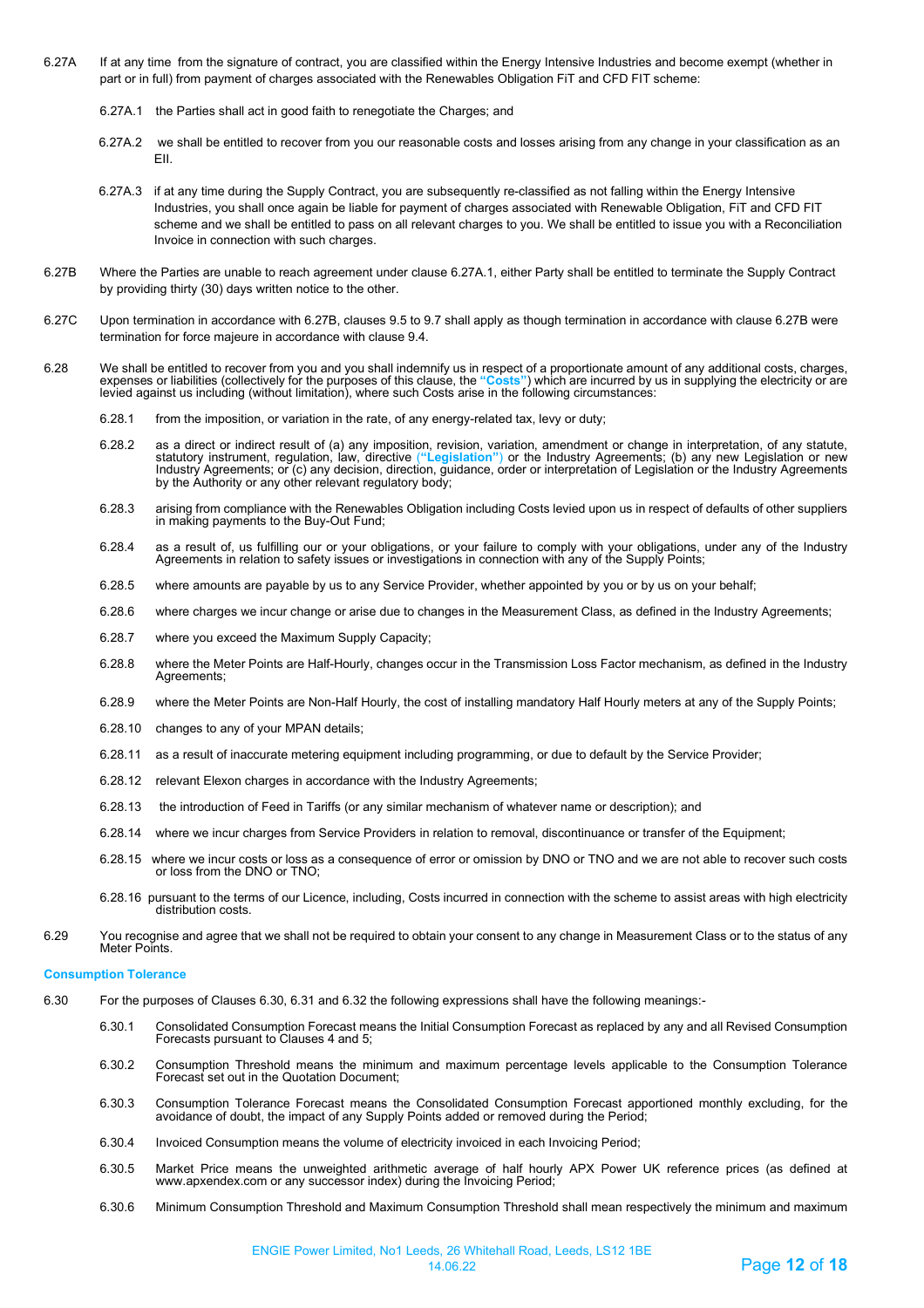- 6.27A If at any time from the signature of contract, you are classified within the Energy Intensive Industries and become exempt (whether in part or in full) from payment of charges associated with the Renewables Obligation FiT and CFD FIT scheme:
	- 6.27A.1 the Parties shall act in good faith to renegotiate the Charges; and
	- 6.27A.2 we shall be entitled to recover from you our reasonable costs and losses arising from any change in your classification as an EII.
	- 6.27A.3 if at any time during the Supply Contract, you are subsequently re-classified as not falling within the Energy Intensive Industries, you shall once again be liable for payment of charges associated with Renewable Obligation, FiT and CFD FIT scheme and we shall be entitled to pass on all relevant charges to you. We shall be entitled to issue you with a Reconciliation Invoice in connection with such charges.
- 6.27B Where the Parties are unable to reach agreement under clause 6.27A.1, either Party shall be entitled to terminate the Supply Contract by providing thirty (30) days written notice to the other.
- 6.27C Upon termination in accordance with 6.27B, clauses 9.5 to 9.7 shall apply as though termination in accordance with clause 6.27B were termination for force majeure in accordance with clause 9.4.
- 6.28 We shall be entitled to recover from you and you shall indemnify us in respect of a proportionate amount of any additional costs, charges, expenses or liabilities (collectively for the purposes of this clause, the **"Costs"**) which are incurred by us in supplying the electricity or are levied against us including (without limitation), where such Costs arise in the following circumstances:
	- 6.28.1 from the imposition, or variation in the rate, of any energy-related tax, levy or duty;
	- 6.28.2 as a direct or indirect result of (a) any imposition, revision, variation, amendment or change in interpretation, of any statute,<br>statutory instrument, regulation, law, directive (**"Legislation**") or the Industry Ag by the Authority or any other relevant regulatory body;
	- 6.28.3 arising from compliance with the Renewables Obligation including Costs levied upon us in respect of defaults of other suppliers in making payments to the Buy-Out Fund;
	- 6.28.4 as a result of, us fulfilling our or your obligations, or your failure to comply with your obligations, under any of the Industry Agreements in relation to safety issues or investigations in connection with any of the Supply Points;
	- 6.28.5 where amounts are payable by us to any Service Provider, whether appointed by you or by us on your behalf;
	- 6.28.6 where charges we incur change or arise due to changes in the Measurement Class, as defined in the Industry Agreements;
	- 6.28.7 where you exceed the Maximum Supply Capacity;
	- 6.28.8 where the Meter Points are Half-Hourly, changes occur in the Transmission Loss Factor mechanism, as defined in the Industry Agreements;
	- 6.28.9 where the Meter Points are Non-Half Hourly, the cost of installing mandatory Half Hourly meters at any of the Supply Points;
	- 6.28.10 changes to any of your MPAN details;
	- 6.28.11 as a result of inaccurate metering equipment including programming, or due to default by the Service Provider;
	- 6.28.12 relevant Elexon charges in accordance with the Industry Agreements;
	- 6.28.13 the introduction of Feed in Tariffs (or any similar mechanism of whatever name or description); and
	- 6.28.14 where we incur charges from Service Providers in relation to removal, discontinuance or transfer of the Equipment;
	- 6.28.15 where we incur costs or loss as a consequence of error or omission by DNO or TNO and we are not able to recover such costs or loss from the DNO or TNO;
	- 6.28.16 pursuant to the terms of our Licence, including, Costs incurred in connection with the scheme to assist areas with high electricity distribution costs.
- 6.29 You recognise and agree that we shall not be required to obtain your consent to any change in Measurement Class or to the status of any Meter Points.

#### **Consumption Tolerance**

- 6.30 For the purposes of Clauses 6.30, 6.31 and 6.32 the following expressions shall have the following meanings:-
	- 6.30.1 Consolidated Consumption Forecast means the Initial Consumption Forecast as replaced by any and all Revised Consumption Forecasts pursuant to Clauses 4 and 5;
	- 6.30.2 Consumption Threshold means the minimum and maximum percentage levels applicable to the Consumption Tolerance Forecast set out in the Quotation Document;
	- 6.30.3 Consumption Tolerance Forecast means the Consolidated Consumption Forecast apportioned monthly excluding, for the avoidance of doubt, the impact of any Supply Points added or removed during the Period;
	- 6.30.4 Invoiced Consumption means the volume of electricity invoiced in each Invoicing Period;
	- 6.30.5 Market Price means the unweighted arithmetic average of half hourly APX Power UK reference prices (as defined at www.apxendex.com or any successor index) during the Invoicing Period;
	- 6.30.6 Minimum Consumption Threshold and Maximum Consumption Threshold shall mean respectively the minimum and maximum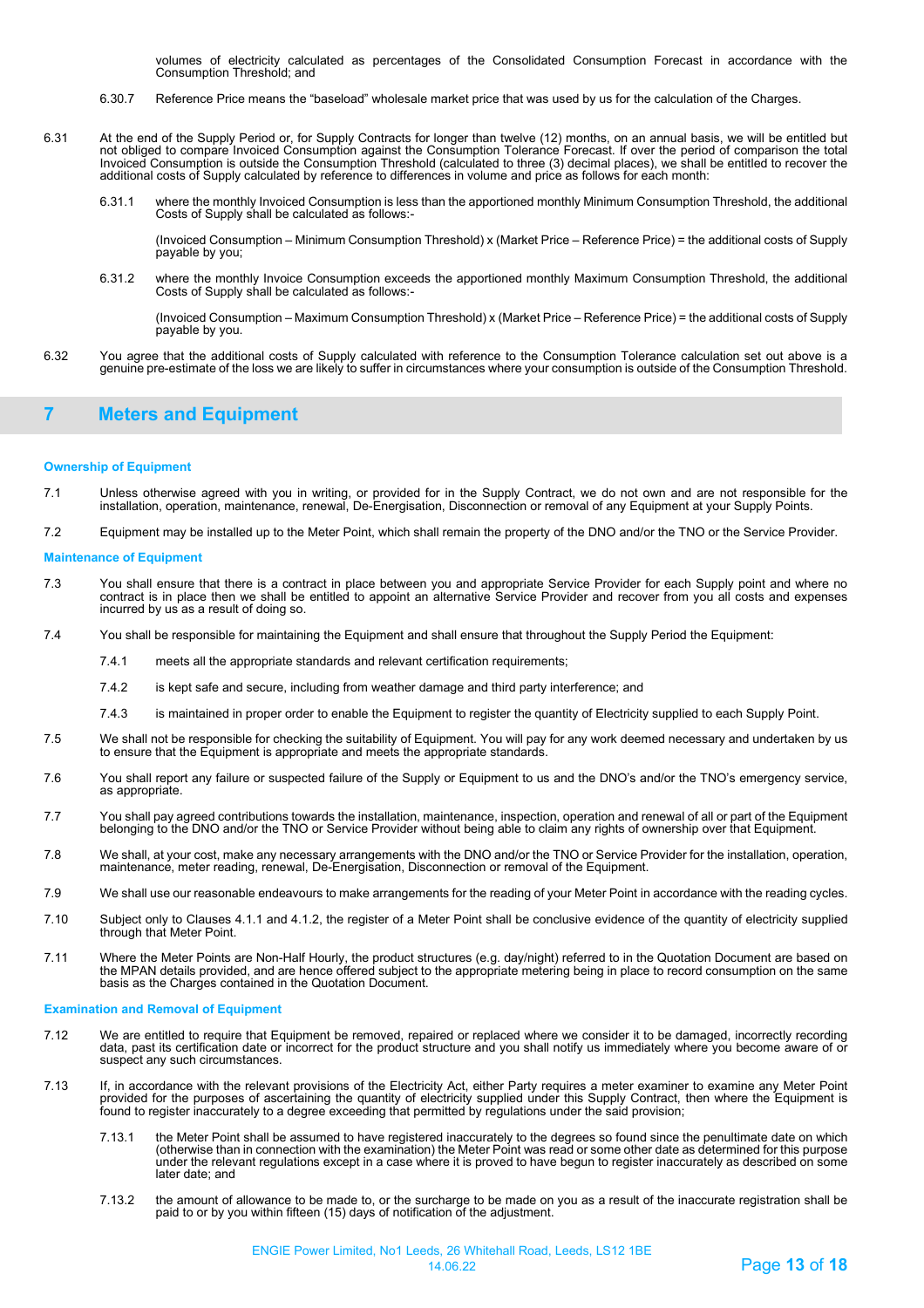volumes of electricity calculated as percentages of the Consolidated Consumption Forecast in accordance with the Consumption Threshold; and

- 6.30.7 Reference Price means the "baseload" wholesale market price that was used by us for the calculation of the Charges.
- 6.31 At the end of the Supply Period or, for Supply Contracts for longer than twelve (12) months, on an annual basis, we will be entitled but<br>Inot obliged to compare Invoiced Consumption against the Consumption Tolerance F Invoiced Consumption is outside the Consumption Threshold (calculated to three (3) decimal places), we shall be entitled to recover the additional costs of Supply calculated by reference to differences in volume and price as follows for each month:
	- 6.31.1 where the monthly Invoiced Consumption is less than the apportioned monthly Minimum Consumption Threshold, the additional Costs of Supply shall be calculated as follows:-

(Invoiced Consumption – Minimum Consumption Threshold) x (Market Price – Reference Price) = the additional costs of Supply payable by you;

6.31.2 where the monthly Invoice Consumption exceeds the apportioned monthly Maximum Consumption Threshold, the additional Costs of Supply shall be calculated as follows:-

(Invoiced Consumption – Maximum Consumption Threshold) x (Market Price – Reference Price) = the additional costs of Supply payable by you.

6.32 You agree that the additional costs of Supply calculated with reference to the Consumption Tolerance calculation set out above is a genuine pre-estimate of the loss we are likely to suffer in circumstances where your consumption is outside of the Consumption Threshold.

## **7 Meters and Equipment**

#### **Ownership of Equipment**

- 7.1 Unless otherwise agreed with you in writing, or provided for in the Supply Contract, we do not own and are not responsible for the installation, operation, maintenance, renewal, De-Energisation, Disconnection or removal of any Equipment at your Supply Points.
- 7.2 Equipment may be installed up to the Meter Point, which shall remain the property of the DNO and/or the TNO or the Service Provider.

#### **Maintenance of Equipment**

- 7.3 You shall ensure that there is a contract in place between you and appropriate Service Provider for each Supply point and where no contract is in place then we shall be entitled to appoint an alternative Service Provider and recover from you all costs and expenses incurred by us as a result of doing so.
- 7.4 You shall be responsible for maintaining the Equipment and shall ensure that throughout the Supply Period the Equipment:
	- 7.4.1 meets all the appropriate standards and relevant certification requirements;
	- 7.4.2 is kept safe and secure, including from weather damage and third party interference; and
	- 7.4.3 is maintained in proper order to enable the Equipment to register the quantity of Electricity supplied to each Supply Point.
- 7.5 We shall not be responsible for checking the suitability of Equipment. You will pay for any work deemed necessary and undertaken by us to ensure that the Equipment is appropriate and meets the appropriate standards.
- 7.6 You shall report any failure or suspected failure of the Supply or Equipment to us and the DNO's and/or the TNO's emergency service, as appropriate.
- 7.7 You shall pay agreed contributions towards the installation, maintenance, inspection, operation and renewal of all or part of the Equipment<br>belonging to the DNO and/or the TNO or Service Provider without bein
- 7.8 We shall, at your cost, make any necessary arrangements with the DNO and/or the TNO or Service Provider for the installation, operation, maintenance, meter reading, renewal, De-Energisation, Disconnection or removal of the Equipment.
- 7.9 We shall use our reasonable endeavours to make arrangements for the reading of your Meter Point in accordance with the reading cycles.
- 7.10 Subject only to Clauses 4.1.1 and 4.1.2, the register of a Meter Point shall be conclusive evidence of the quantity of electricity supplied through that Meter Point.
- 7.11 Where the Meter Points are Non-Half Hourly, the product structures (e.g. day/night) referred to in the Quotation Document are based on<br>the MPAN details provided, and are hence offered subject to the appropriate meteri basis as the Charges contained in the Quotation Document.

#### **Examination and Removal of Equipment**

- 7.12 We are entitled to require that Equipment be removed, repaired or replaced where we consider it to be damaged, incorrectly recording data, past its certification date or incorrect for the product structure and you shall notify us immediately where you become aware of or suspect any such circumstances.
- 7.13 If, in accordance with the relevant provisions of the Electricity Act, either Party requires a meter examiner to examine any Meter Point provided for the purposes of ascertaining the quantity of electricity supplied under this Supply Contract, then where the Equipment is found to register inaccurately to a degree exceeding that permitted by regulations under the said provision;
	- 7.13.1 the Meter Point shall be assumed to have registered inaccurately to the degrees so found since the penultimate date on which (otherwise than in connection with the examination) the Meter Point was read or some other date as determined for this purpose under the relevant regulations except in a case where it is proved to have begun to register inaccurately as described on some later date; and
	- 7.13.2 the amount of allowance to be made to, or the surcharge to be made on you as a result of the inaccurate registration shall be paid to or by you within fifteen (15) days of notification of the adjustment.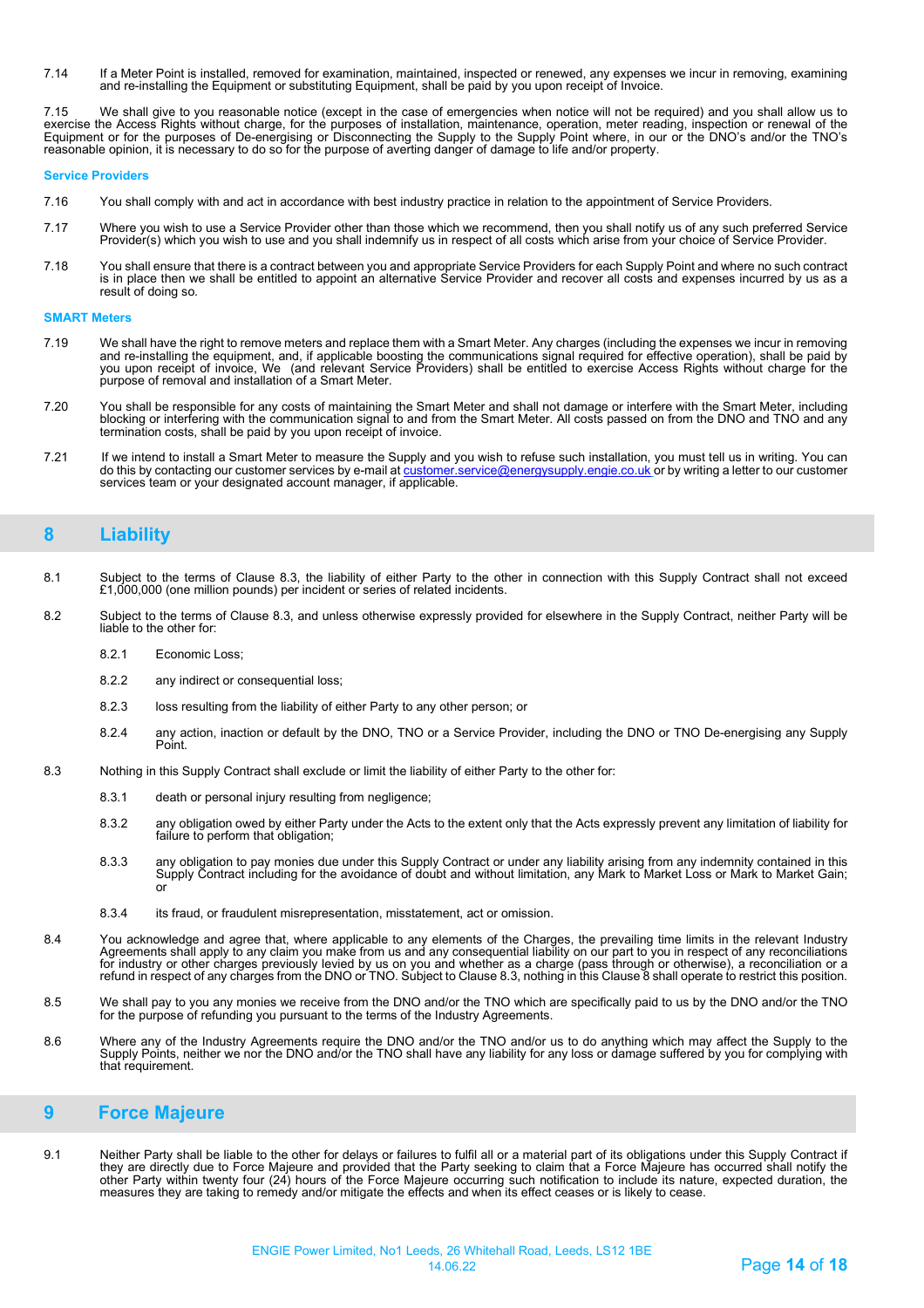7.14 If a Meter Point is installed, removed for examination, maintained, inspected or renewed, any expenses we incur in removing, examining and re-installing the Equipment or substituting Equipment, shall be paid by you upon receipt of Invoice.

7.15 We shall give to you reasonable notice (except in the case of emergencies when notice will not be required) and you shall allow us to exercise the Access Rights without charge, for the purposes of installation, maintenance, operation, meter reading, inspection or renewal of the Equipment or for the purposes of De-energising or Disconnecting the Supply to the Supply Point where, in our or the DNO's and/or the TNO's reasonable opinion, it is necessary to do so for the purpose of averting danger of damage to life and/or property.

#### **Service Providers**

- 7.16 You shall comply with and act in accordance with best industry practice in relation to the appointment of Service Providers.
- 7.17 Where you wish to use a Service Provider other than those which we recommend, then you shall notify us of any such preferred Service Provider(s) which you wish to use and you shall indemnify us in respect of all costs which arise from your choice of Service Provider.
- 7.18 You shall ensure that there is a contract between you and appropriate Service Providers for each Supply Point and where no such contract is in place then we shall be entitled to appoint an alternative Service Provider and recover all costs and expenses incurred by us as a result of doing so.

#### **SMART Meters**

- 7.19 We shall have the right to remove meters and replace them with a Smart Meter. Any charges (including the expenses we incur in removing and re-installing the equipment, and, if applicable boosting the communications signal required for effective operation), shall be paid by you upon receipt of invoice, We (and relevant Service Providers) shall be entitled to exercise Access Rights without charge for the purpose of removal and installation of a Smart Meter.
- 7.20 You shall be responsible for any costs of maintaining the Smart Meter and shall not damage or interfere with the Smart Meter, including<br>blocking or interfering with the communication signal to and from the Smart Met termination costs, shall be paid by you upon receipt of invoice.
- 7.21 If we intend to install a Smart Meter to measure the Supply and you wish to refuse such installation, you must tell us in writing. You can<br>do this by contacting our customer services by e-mail at <u>customer.service@e</u> services team or your designated account manager, if applicable.

## **8 Liability**

- 8.1 Subject to the terms of Clause 8.3, the liability of either Party to the other in connection with this Supply Contract shall not exceed £1,000,000 (one million pounds) per incident or series of related incidents.
- 8.2 Subject to the terms of Clause 8.3, and unless otherwise expressly provided for elsewhere in the Supply Contract, neither Party will be liable to the other for:
	- 8.2.1 Economic Loss;
	- 8.2.2 any indirect or consequential loss;
	- 8.2.3 loss resulting from the liability of either Party to any other person; or
	- 8.2.4 any action, inaction or default by the DNO, TNO or a Service Provider, including the DNO or TNO De-energising any Supply Point.
- 8.3 Nothing in this Supply Contract shall exclude or limit the liability of either Party to the other for:
	- 8.3.1 death or personal injury resulting from negligence;
	- 8.3.2 any obligation owed by either Party under the Acts to the extent only that the Acts expressly prevent any limitation of liability for failure to perform that obligation;
	- 8.3.3 any obligation to pay monies due under this Supply Contract or under any liability arising from any indemnity contained in this Supply Contract including for the avoidance of doubt and without limitation, any Mark to Market Loss or Mark to Market Gain; or
	- 8.3.4 its fraud, or fraudulent misrepresentation, misstatement, act or omission.
- 8.4 You acknowledge and agree that, where applicable to any elements of the Charges, the prevailing time limits in the relevant Industry Agreements shall apply to any claim you make from us and any consequential liability on our part to you in respect of any reconciliations<br>for industry or other charges previously levied by us on you and whether as a charge refund in respect of any charges from the DNO or TNO. Subject to Clause 8.3, nothing in this Clause 8 shall operate to restrict this position.
- 8.5 We shall pay to you any monies we receive from the DNO and/or the TNO which are specifically paid to us by the DNO and/or the TNO for the purpose of refunding you pursuant to the terms of the Industry Agreements.
- 8.6 Where any of the Industry Agreements require the DNO and/or the TNO and/or us to do anything which may affect the Supply to the Supply Points, neither we nor the DNO and/or the TNO shall have any liability for any loss or damage suffered by you for complying with that requirement.

## **9 Force Majeure**

9.1 Neither Party shall be liable to the other for delays or failures to fulfil all or a material part of its obligations under this Supply Contract if they are directly due to Force Majeure and provided that the Party seeking to claim that a Force Majeure has occurred shall notify the other Party within twenty four (24) hours of the Force Majeure occurring such notification to include its nature, expected duration, the<br>measures they are taking to remedy and/or mitigate the effects and when its effect ce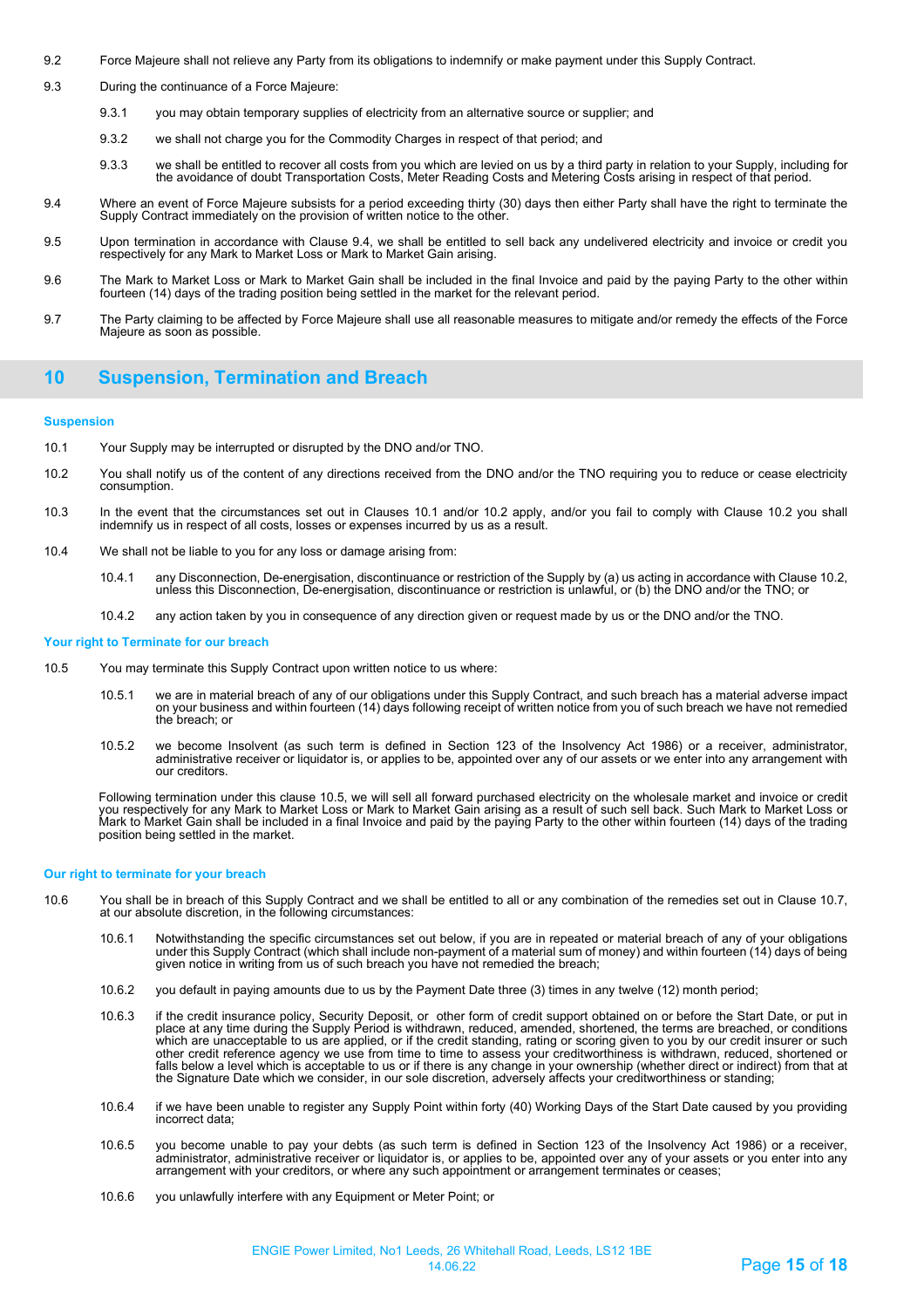- 9.2 Force Majeure shall not relieve any Party from its obligations to indemnify or make payment under this Supply Contract.
- 9.3 During the continuance of a Force Majeure:
	- 9.3.1 you may obtain temporary supplies of electricity from an alternative source or supplier; and
	- 9.3.2 we shall not charge you for the Commodity Charges in respect of that period; and
	- 9.3.3 we shall be entitled to recover all costs from you which are levied on us by a third party in relation to your Supply, including for the avoidance of doubt Transportation Costs, Meter Reading Costs and Metering Costs arising in respect of that period.
- 9.4 Where an event of Force Majeure subsists for a period exceeding thirty (30) days then either Party shall have the right to terminate the Supply Contract immediately on the provision of written notice to the other.
- 9.5 Upon termination in accordance with Clause 9.4, we shall be entitled to sell back any undelivered electricity and invoice or credit you respectively for any Mark to Market Loss or Mark to Market Gain arising.
- 9.6 The Mark to Market Loss or Mark to Market Gain shall be included in the final Invoice and paid by the paying Party to the other within fourteen (14) days of the trading position being settled in the market for the relevant period.
- 9.7 The Party claiming to be affected by Force Majeure shall use all reasonable measures to mitigate and/or remedy the effects of the Force Majeure as soon as possible.

## **10 Suspension, Termination and Breach**

#### **Suspension**

- 10.1 Your Supply may be interrupted or disrupted by the DNO and/or TNO.
- 10.2 You shall notify us of the content of any directions received from the DNO and/or the TNO requiring you to reduce or cease electricity consumption.
- 10.3 In the event that the circumstances set out in Clauses 10.1 and/or 10.2 apply, and/or you fail to comply with Clause 10.2 you shall indemnify us in respect of all costs, losses or expenses incurred by us as a result.
- 10.4 We shall not be liable to you for any loss or damage arising from:
	- 10.4.1 any Disconnection, De-energisation, discontinuance or restriction of the Supply by (a) us acting in accordance with Clause 10.2, unless this Disconnection, De-energisation, discontinuance or restriction is unlawful, or (b) the DNO and/or the TNO; or
	- 10.4.2 any action taken by you in consequence of any direction given or request made by us or the DNO and/or the TNO.

#### **Your right to Terminate for our breach**

- 10.5 You may terminate this Supply Contract upon written notice to us where:
	- 10.5.1 we are in material breach of any of our obligations under this Supply Contract, and such breach has a material adverse impact on your business and within fourteen (14) days following receipt of written notice from you of such breach we have not remedied the breach; or
	- 10.5.2 we become Insolvent (as such term is defined in Section 123 of the Insolvency Act 1986) or a receiver, administrator, administrative receiver or liquidator is, or applies to be, appointed over any of our assets or we enter into any arrangement with our creditors.

Following termination under this clause 10.5, we will sell all forward purchased electricity on the wholesale market and invoice or credit you respectively for any Mark to Market Loss or Mark to Market Gain arising as a result of such sell back. Such Mark to Market Loss or Mark to Market Gain shall be included in a final Invoice and paid by the paying Party to the other within fourteen (14) days of the trading position being settled in the market.

#### **Our right to terminate for your breach**

- 10.6 You shall be in breach of this Supply Contract and we shall be entitled to all or any combination of the remedies set out in Clause 10.7, at our absolute discretion, in the following circumstances:
	- 10.6.1 Notwithstanding the specific circumstances set out below, if you are in repeated or material breach of any of your obligations under this Supply Contract (which shall include non-payment of a material sum of money) and within fourteen (14) days of being<br>given notice in writing from us of such breach you have not remedied the breach;
	- 10.6.2 you default in paying amounts due to us by the Payment Date three (3) times in any twelve (12) month period;
	- 10.6.3 if the credit insurance policy, Security Deposit, or other form of credit support obtained on or before the Start Date, or put in place at any time during the Supply Period is withdrawn, reduced, amended, shortened, the terms are breached, or conditions which are unacceptable to us are applied, or if the credit standing, rating or scoring given to you by our credit insurer or such other credit reference agency we use from time to time to assess your creditworthiness is withdrawn, reduced, shortened or falls below a level which is acceptable to us or if there is any change in your ownership (whether direct or indirect) from that at the Signature Date which we consider, in our sole discretion, adversely affects your creditworthiness or standing;
	- 10.6.4 if we have been unable to register any Supply Point within forty (40) Working Days of the Start Date caused by you providing incorrect data;
	- 10.6.5 you become unable to pay your debts (as such term is defined in Section 123 of the Insolvency Act 1986) or a receiver, administrator, administrative receiver or liquidator is, or applies to be, appointed over any of your assets or you enter into any arrangement with your creditors, or where any such appointment or arrangement terminates or ceases;
	- 10.6.6 you unlawfully interfere with any Equipment or Meter Point; or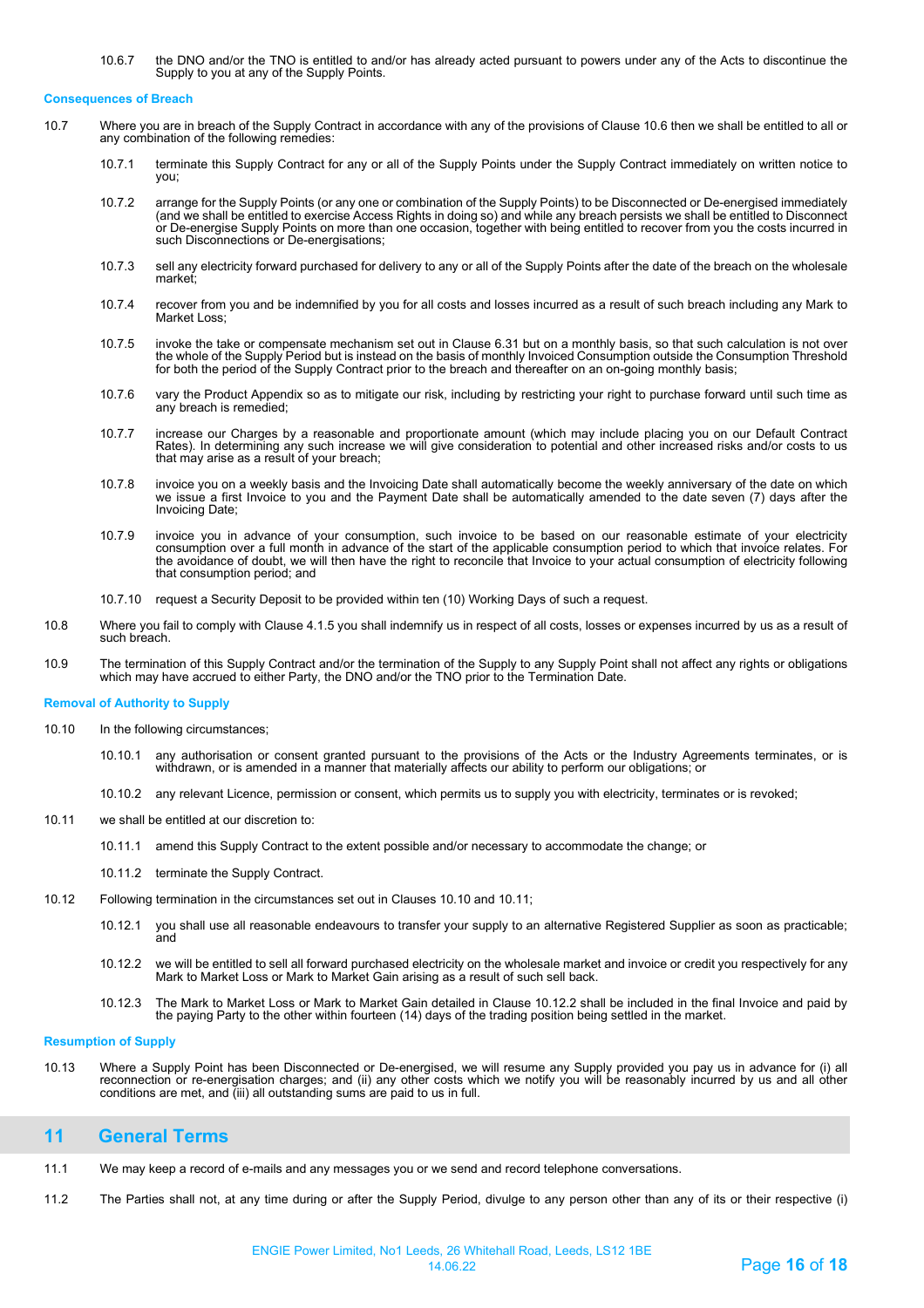10.6.7 the DNO and/or the TNO is entitled to and/or has already acted pursuant to powers under any of the Acts to discontinue the Supply to you at any of the Supply Points.

#### **Consequences of Breach**

- 10.7 Where you are in breach of the Supply Contract in accordance with any of the provisions of Clause 10.6 then we shall be entitled to all or any combination of the following remedies:
	- 10.7.1 terminate this Supply Contract for any or all of the Supply Points under the Supply Contract immediately on written notice to you;
	- 10.7.2 arrange for the Supply Points (or any one or combination of the Supply Points) to be Disconnected or De-energised immediately (and we shall be entitled to exercise Access Rights in doing so) and while any breach persists we shall be entitled to Disconnect or De-energise Supply Points on more than one occasion, together with being entitled to recover from you the costs incurred in such Disconnections or De-energisations;
	- 10.7.3 sell any electricity forward purchased for delivery to any or all of the Supply Points after the date of the breach on the wholesale market;
	- 10.7.4 recover from you and be indemnified by you for all costs and losses incurred as a result of such breach including any Mark to Market Loss;
	- 10.7.5 invoke the take or compensate mechanism set out in Clause 6.31 but on a monthly basis, so that such calculation is not over the whole of the Supply Period but is instead on the basis of monthly Invoiced Consumption outside the Consumption Threshold for both the period of the Supply Contract prior to the breach and thereafter on an on-going monthly basis;
	- 10.7.6 vary the Product Appendix so as to mitigate our risk, including by restricting your right to purchase forward until such time as any breach is remedied;
	- 10.7.7 increase our Charges by a reasonable and proportionate amount (which may include placing you on our Default Contract Rates). In determining any such increase we will give consideration to potential and other increased risks and/or costs to us that may arise as a result of your breach;
	- 10.7.8 invoice you on a weekly basis and the Invoicing Date shall automatically become the weekly anniversary of the date on which we issue a first Invoice to you and the Payment Date shall be automatically amended to the date seven (7) days after the Invoicing Date;
	- 10.7.9 invoice you in advance of your consumption, such invoice to be based on our reasonable estimate of your electricity consumption over a full month in advance of the start of the applicable consumption period to which that invoice relates. For the avoidance of doubt, we will then have the right to reconcile that Invoice to your actual consumption of electricity following that consumption period; and
	- 10.7.10 request a Security Deposit to be provided within ten (10) Working Days of such a request.
- 10.8 Where you fail to comply with Clause 4.1.5 you shall indemnify us in respect of all costs, losses or expenses incurred by us as a result of such breach.
- 10.9 The termination of this Supply Contract and/or the termination of the Supply to any Supply Point shall not affect any rights or obligations which may have accrued to either Party, the DNO and/or the TNO prior to the Termination Date.

#### **Removal of Authority to Supply**

- 10.10 In the following circumstances:
	- 10.10.1 any authorisation or consent granted pursuant to the provisions of the Acts or the Industry Agreements terminates, or is withdrawn, or is amended in a manner that materially affects our ability to perform our obligations; or
	- 10.10.2 any relevant Licence, permission or consent, which permits us to supply you with electricity, terminates or is revoked;
- 10.11 we shall be entitled at our discretion to:
	- 10.11.1 amend this Supply Contract to the extent possible and/or necessary to accommodate the change; or
	- 10.11.2 terminate the Supply Contract.
- 10.12 Following termination in the circumstances set out in Clauses 10.10 and 10.11;
	- 10.12.1 you shall use all reasonable endeavours to transfer your supply to an alternative Registered Supplier as soon as practicable; and
	- 10.12.2 we will be entitled to sell all forward purchased electricity on the wholesale market and invoice or credit you respectively for any Mark to Market Loss or Mark to Market Gain arising as a result of such sell back.
	- 10.12.3 The Mark to Market Loss or Mark to Market Gain detailed in Clause 10.12.2 shall be included in the final Invoice and paid by the paying Party to the other within fourteen (14) days of the trading position being settled in the market.

#### **Resumption of Supply**

10.13 Where a Supply Point has been Disconnected or De-energised, we will resume any Supply provided you pay us in advance for (i) all reconnection or re-energisation charges; and (ii) any other costs which we notify you will be reasonably incurred by us and all other conditions are met, and (iii) all outstanding sums are paid to us in full.

### **11 General Terms**

- 11.1 We may keep a record of e-mails and any messages you or we send and record telephone conversations.
- 11.2 The Parties shall not, at any time during or after the Supply Period, divulge to any person other than any of its or their respective (i)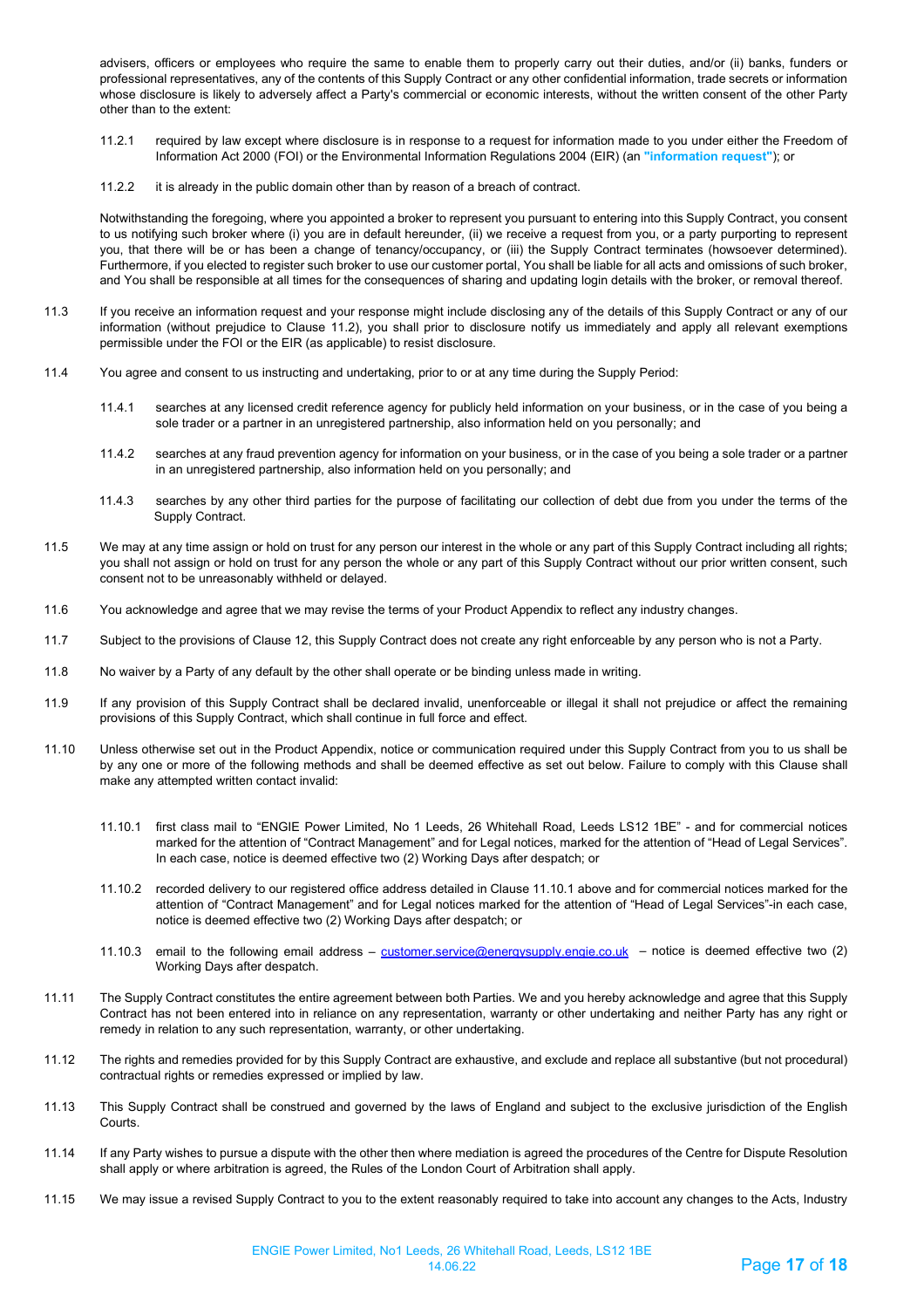advisers, officers or employees who require the same to enable them to properly carry out their duties, and/or (ii) banks, funders or professional representatives, any of the contents of this Supply Contract or any other confidential information, trade secrets or information whose disclosure is likely to adversely affect a Party's commercial or economic interests, without the written consent of the other Party other than to the extent:

- 11.2.1 required by law except where disclosure is in response to a request for information made to you under either the Freedom of Information Act 2000 (FOI) or the Environmental Information Regulations 2004 (EIR) (an **"information request"**); or
- 11.2.2 it is already in the public domain other than by reason of a breach of contract.

Notwithstanding the foregoing, where you appointed a broker to represent you pursuant to entering into this Supply Contract, you consent to us notifying such broker where (i) you are in default hereunder, (ii) we receive a request from you, or a party purporting to represent you, that there will be or has been a change of tenancy/occupancy, or (iii) the Supply Contract terminates (howsoever determined). Furthermore, if you elected to register such broker to use our customer portal, You shall be liable for all acts and omissions of such broker, and You shall be responsible at all times for the consequences of sharing and updating login details with the broker, or removal thereof.

- 11.3 If you receive an information request and your response might include disclosing any of the details of this Supply Contract or any of our information (without prejudice to Clause 11.2), you shall prior to disclosure notify us immediately and apply all relevant exemptions permissible under the FOI or the EIR (as applicable) to resist disclosure.
- 11.4 You agree and consent to us instructing and undertaking, prior to or at any time during the Supply Period:
	- 11.4.1 searches at any licensed credit reference agency for publicly held information on your business, or in the case of you being a sole trader or a partner in an unregistered partnership, also information held on you personally; and
	- 11.4.2 searches at any fraud prevention agency for information on your business, or in the case of you being a sole trader or a partner in an unregistered partnership, also information held on you personally; and
	- 11.4.3 searches by any other third parties for the purpose of facilitating our collection of debt due from you under the terms of the Supply Contract.
- 11.5 We may at any time assign or hold on trust for any person our interest in the whole or any part of this Supply Contract including all rights; you shall not assign or hold on trust for any person the whole or any part of this Supply Contract without our prior written consent, such consent not to be unreasonably withheld or delayed.
- 11.6 You acknowledge and agree that we may revise the terms of your Product Appendix to reflect any industry changes.
- 11.7 Subject to the provisions of Clause 12, this Supply Contract does not create any right enforceable by any person who is not a Party.
- 11.8 No waiver by a Party of any default by the other shall operate or be binding unless made in writing.
- 11.9 If any provision of this Supply Contract shall be declared invalid, unenforceable or illegal it shall not prejudice or affect the remaining provisions of this Supply Contract, which shall continue in full force and effect.
- 11.10 Unless otherwise set out in the Product Appendix, notice or communication required under this Supply Contract from you to us shall be by any one or more of the following methods and shall be deemed effective as set out below. Failure to comply with this Clause shall make any attempted written contact invalid:
	- 11.10.1 first class mail to "ENGIE Power Limited, No 1 Leeds, 26 Whitehall Road, Leeds LS12 1BE" and for commercial notices marked for the attention of "Contract Management" and for Legal notices, marked for the attention of "Head of Legal Services". In each case, notice is deemed effective two (2) Working Days after despatch; or
	- 11.10.2 recorded delivery to our registered office address detailed in Clause 11.10.1 above and for commercial notices marked for the attention of "Contract Management" and for Legal notices marked for the attention of "Head of Legal Services"-in each case, notice is deemed effective two (2) Working Days after despatch; or
	- 11.10.3 email to the following email address - [customer.service@energysupply.engie.co.uk](mailto:customer.service@energysupply.engie.co.uk)  notice is deemed effective two (2) Working Days after despatch.
- 11.11 The Supply Contract constitutes the entire agreement between both Parties. We and you hereby acknowledge and agree that this Supply Contract has not been entered into in reliance on any representation, warranty or other undertaking and neither Party has any right or remedy in relation to any such representation, warranty, or other undertaking.
- 11.12 The rights and remedies provided for by this Supply Contract are exhaustive, and exclude and replace all substantive (but not procedural) contractual rights or remedies expressed or implied by law.
- 11.13 This Supply Contract shall be construed and governed by the laws of England and subject to the exclusive jurisdiction of the English Courts.
- 11.14 If any Party wishes to pursue a dispute with the other then where mediation is agreed the procedures of the Centre for Dispute Resolution shall apply or where arbitration is agreed, the Rules of the London Court of Arbitration shall apply.
- 11.15 We may issue a revised Supply Contract to you to the extent reasonably required to take into account any changes to the Acts, Industry